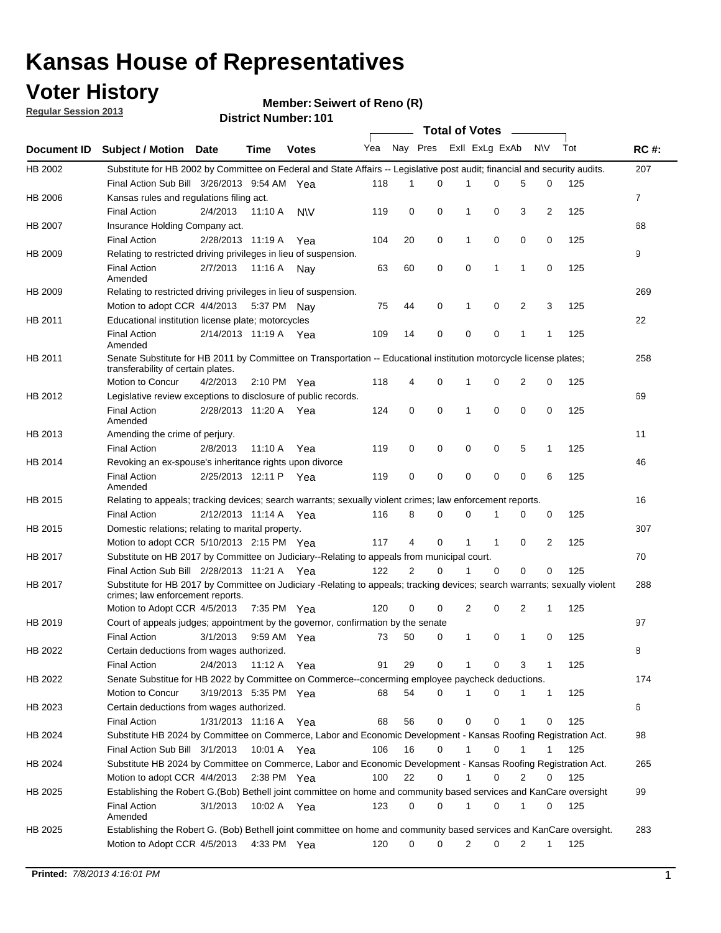### **Voter History**

**Member: Seiwert of Reno (R)** 

**Regular Session 2013**

|             |                                                                                                                                                                |                       |             |               |     |          |          | <b>Total of Votes</b> |              |              |                |     |             |
|-------------|----------------------------------------------------------------------------------------------------------------------------------------------------------------|-----------------------|-------------|---------------|-----|----------|----------|-----------------------|--------------|--------------|----------------|-----|-------------|
| Document ID | <b>Subject / Motion Date</b>                                                                                                                                   |                       | Time        | <b>Votes</b>  | Yea | Nay Pres |          | Exll ExLg ExAb        |              |              | N\V            | Tot | <b>RC#:</b> |
| HB 2002     | Substitute for HB 2002 by Committee on Federal and State Affairs -- Legislative post audit; financial and security audits.                                     |                       |             |               |     |          |          |                       |              |              |                |     | 207         |
|             | Final Action Sub Bill 3/26/2013 9:54 AM Yea                                                                                                                    |                       |             |               | 118 | 1        | 0        | 1                     | 0            | 5            | 0              | 125 |             |
| HB 2006     | Kansas rules and regulations filing act.                                                                                                                       |                       |             |               |     |          |          |                       |              |              |                |     | 7           |
|             | <b>Final Action</b>                                                                                                                                            | 2/4/2013              | 11:10 A     | <b>NV</b>     | 119 | 0        | 0        | 1                     | 0            | 3            | $\overline{2}$ | 125 |             |
| HB 2007     | Insurance Holding Company act.                                                                                                                                 |                       |             |               |     |          |          |                       |              |              |                |     | 68          |
|             | <b>Final Action</b>                                                                                                                                            | 2/28/2013 11:19 A     |             | Yea           | 104 | 20       | 0        | 1                     | 0            | 0            | 0              | 125 |             |
| HB 2009     | Relating to restricted driving privileges in lieu of suspension.                                                                                               |                       |             |               |     |          |          |                       |              |              |                |     | 9           |
|             | <b>Final Action</b><br>Amended                                                                                                                                 | 2/7/2013              | 11:16 A     | Nav           | 63  | 60       | 0        | 0                     | 1            | 1            | 0              | 125 |             |
| HB 2009     | Relating to restricted driving privileges in lieu of suspension.                                                                                               |                       |             |               |     |          |          |                       |              |              |                |     | 269         |
|             | Motion to adopt CCR 4/4/2013                                                                                                                                   |                       |             | 5:37 PM Nav   | 75  | 44       | 0        | 1                     | 0            | 2            | 3              | 125 |             |
| HB 2011     | Educational institution license plate; motorcycles                                                                                                             |                       |             |               |     |          |          |                       |              |              |                |     | 22          |
|             | <b>Final Action</b><br>Amended                                                                                                                                 | 2/14/2013 11:19 A Yea |             |               | 109 | 14       | 0        | 0                     | 0            | $\mathbf{1}$ | 1              | 125 |             |
| HB 2011     | Senate Substitute for HB 2011 by Committee on Transportation -- Educational institution motorcycle license plates;                                             |                       |             |               |     |          |          |                       |              |              |                |     | 258         |
|             | transferability of certain plates.                                                                                                                             |                       |             |               |     |          |          |                       |              |              |                |     |             |
|             | Motion to Concur                                                                                                                                               | 4/2/2013              |             | 2:10 PM $Yea$ | 118 | 4        | 0        | 1                     | 0            | 2            | 0              | 125 |             |
| HB 2012     | Legislative review exceptions to disclosure of public records.                                                                                                 |                       |             |               |     |          |          |                       |              |              |                |     | 69          |
|             | <b>Final Action</b><br>Amended                                                                                                                                 | 2/28/2013 11:20 A     |             | Yea           | 124 | 0        | 0        | 1                     | 0            | $\mathbf 0$  | 0              | 125 |             |
| HB 2013     | Amending the crime of perjury.                                                                                                                                 |                       |             |               |     |          |          |                       |              |              |                |     | 11          |
|             | <b>Final Action</b>                                                                                                                                            | 2/8/2013              | 11:10 A     | Yea           | 119 | 0        | 0        | 0                     | 0            | 5            | $\mathbf{1}$   | 125 |             |
| HB 2014     | Revoking an ex-spouse's inheritance rights upon divorce                                                                                                        |                       |             |               |     |          |          |                       |              |              |                |     | 46          |
|             | <b>Final Action</b><br>Amended                                                                                                                                 | 2/25/2013 12:11 P     |             | Yea           | 119 | 0        | 0        | 0                     | 0            | 0            | 6              | 125 |             |
| HB 2015     | Relating to appeals; tracking devices; search warrants; sexually violent crimes; law enforcement reports.                                                      |                       |             |               |     |          |          |                       |              |              |                |     | 16          |
|             | <b>Final Action</b>                                                                                                                                            | 2/12/2013 11:14 A Yea |             |               | 116 | 8        | 0        | 0                     | 1            | 0            | 0              | 125 |             |
| HB 2015     | Domestic relations; relating to marital property.                                                                                                              |                       |             |               |     |          |          |                       |              |              |                |     | 307         |
|             | Motion to adopt CCR 5/10/2013 2:15 PM Yea                                                                                                                      |                       |             |               | 117 | 4        | $\Omega$ | 1                     | $\mathbf{1}$ | 0            | 2              | 125 |             |
| HB 2017     | Substitute on HB 2017 by Committee on Judiciary--Relating to appeals from municipal court.                                                                     |                       |             |               |     |          |          |                       |              |              |                |     | 70          |
|             | Final Action Sub Bill 2/28/2013 11:21 A Yea                                                                                                                    |                       |             |               | 122 | 2        | 0        | 1                     | $\Omega$     | $\Omega$     | $\Omega$       | 125 |             |
| HB 2017     | Substitute for HB 2017 by Committee on Judiciary -Relating to appeals; tracking devices; search warrants; sexually violent<br>crimes; law enforcement reports. |                       |             |               |     |          |          |                       |              |              |                |     | 288         |
|             | Motion to Adopt CCR 4/5/2013                                                                                                                                   |                       | 7:35 PM Yea |               | 120 | 0        | 0        | 2                     | 0            | 2            | $\mathbf{1}$   | 125 |             |
| HB 2019     | Court of appeals judges; appointment by the governor, confirmation by the senate                                                                               |                       |             |               |     |          |          |                       |              |              |                |     | 97          |
|             | <b>Final Action</b>                                                                                                                                            | 3/1/2013              |             | 9:59 AM Yea   | 73  | 50       | 0        | 1                     | 0            | 1            | 0              | 125 |             |
| HB 2022     | Certain deductions from wages authorized.                                                                                                                      |                       |             |               |     |          |          |                       |              |              |                |     | В           |
|             | <b>Final Action</b>                                                                                                                                            | 2/4/2013              | 11:12 A Yea |               | 91  | 29       | 0        |                       | 0            | 3            | 1              | 125 |             |
| HB 2022     | Senate Substitue for HB 2022 by Committee on Commerce--concerming employee paycheck deductions.                                                                |                       |             |               |     |          |          |                       |              |              |                |     | 174         |
|             | Motion to Concur                                                                                                                                               | 3/19/2013 5:35 PM Yea |             |               | 68  | 54       | 0        | 1                     | 0            | 1            | $\mathbf{1}$   | 125 |             |
| HB 2023     | Certain deductions from wages authorized.                                                                                                                      |                       |             |               |     |          |          |                       |              |              |                |     | 6           |
|             | <b>Final Action</b>                                                                                                                                            | 1/31/2013 11:16 A Yea |             |               | 68  | 56       | 0        | 0                     | 0            | 1            | 0              | 125 |             |
| HB 2024     | Substitute HB 2024 by Committee on Commerce, Labor and Economic Development - Kansas Roofing Registration Act.                                                 |                       |             |               |     |          |          |                       |              |              |                |     | 98          |
|             | Final Action Sub Bill 3/1/2013                                                                                                                                 |                       | 10:01 A Yea |               | 106 | 16       | 0        | 1                     | 0            |              |                | 125 |             |
| HB 2024     | Substitute HB 2024 by Committee on Commerce, Labor and Economic Development - Kansas Roofing Registration Act.                                                 |                       |             |               |     |          |          |                       |              |              |                |     | 265         |
|             | Motion to adopt CCR 4/4/2013                                                                                                                                   |                       | 2:38 PM Yea |               | 100 | 22       | 0        |                       | 0            | 2            | 0              | 125 |             |
| HB 2025     | Establishing the Robert G.(Bob) Bethell joint committee on home and community based services and KanCare oversight                                             |                       |             |               |     |          |          |                       |              |              |                |     | 99          |
|             | Final Action<br>Amended                                                                                                                                        | 3/1/2013              |             | 10:02 A Yea   | 123 | 0        | 0        | 1                     | 0            | 1            | 0              | 125 |             |
| HB 2025     | Establishing the Robert G. (Bob) Bethell joint committee on home and community based services and KanCare oversight.                                           |                       |             |               |     |          |          |                       |              |              |                |     | 283         |
|             | Motion to Adopt CCR 4/5/2013                                                                                                                                   |                       |             | 4:33 PM Yea   | 120 | 0        | 0        | 2                     | 0            | 2            | $\mathbf{1}$   | 125 |             |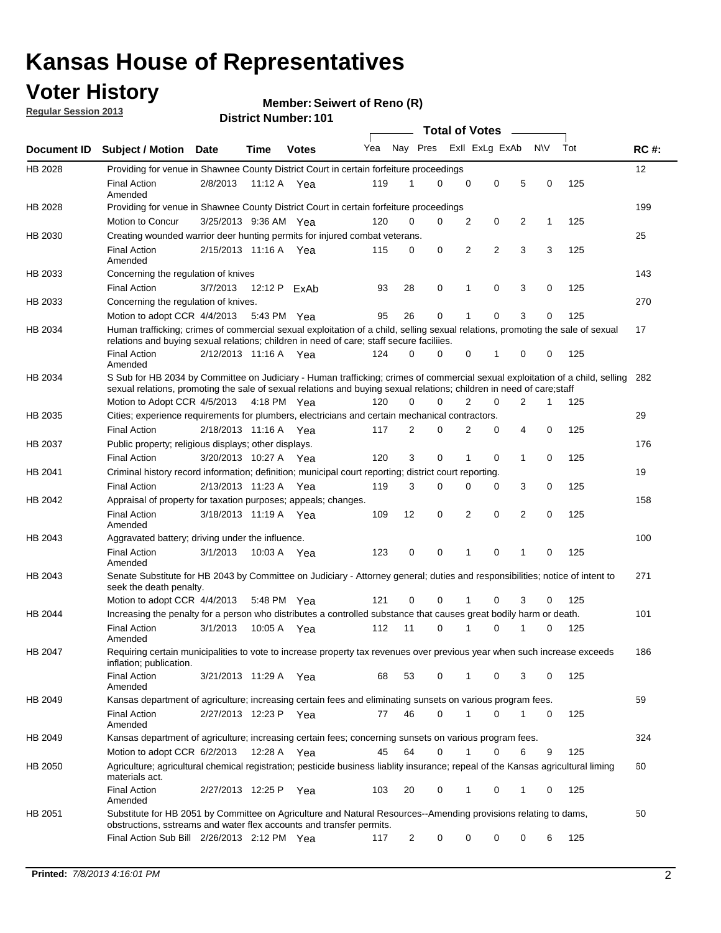### **Voter History**

**Member: Seiwert of Reno (R)** 

**Regular Session 2013**

|                    |                                                                                                                                                                                                                                                       |                       |         |              |     |                         | <b>Total of Votes</b> |                |   |                |           |     |             |
|--------------------|-------------------------------------------------------------------------------------------------------------------------------------------------------------------------------------------------------------------------------------------------------|-----------------------|---------|--------------|-----|-------------------------|-----------------------|----------------|---|----------------|-----------|-----|-------------|
| <b>Document ID</b> | <b>Subject / Motion Date</b>                                                                                                                                                                                                                          |                       | Time    | <b>Votes</b> | Yea | Nay Pres Exll ExLg ExAb |                       |                |   |                | <b>NV</b> | Tot | <b>RC#:</b> |
| HB 2028            | Providing for venue in Shawnee County District Court in certain forfeiture proceedings                                                                                                                                                                |                       |         |              |     |                         |                       |                |   |                |           |     | 12          |
|                    | <b>Final Action</b><br>Amended                                                                                                                                                                                                                        | 2/8/2013              | 11:12 A | Yea          | 119 | 1                       | 0                     | 0              | 0 | 5              | 0         | 125 |             |
| HB 2028            | Providing for venue in Shawnee County District Court in certain forfeiture proceedings                                                                                                                                                                |                       |         |              |     |                         |                       |                |   |                |           |     | 199         |
|                    | Motion to Concur                                                                                                                                                                                                                                      | 3/25/2013 9:36 AM Yea |         |              | 120 | 0                       | 0                     | 2              | 0 | 2              | 1         | 125 |             |
| HB 2030            | Creating wounded warrior deer hunting permits for injured combat veterans.                                                                                                                                                                            |                       |         |              |     |                         |                       |                |   |                |           |     | 25          |
|                    | <b>Final Action</b><br>Amended                                                                                                                                                                                                                        | 2/15/2013 11:16 A Yea |         |              | 115 | 0                       | 0                     | 2              | 2 | 3              | 3         | 125 |             |
| HB 2033            | Concerning the regulation of knives                                                                                                                                                                                                                   |                       |         |              |     |                         |                       |                |   |                |           |     | 143         |
|                    | <b>Final Action</b>                                                                                                                                                                                                                                   | 3/7/2013              |         | 12:12 P ExAb | 93  | 28                      | 0                     | 1              | 0 | 3              | 0         | 125 |             |
| HB 2033            | Concerning the regulation of knives.                                                                                                                                                                                                                  |                       |         |              |     |                         |                       |                |   |                |           |     | 270         |
|                    | Motion to adopt CCR 4/4/2013                                                                                                                                                                                                                          |                       |         | 5:43 PM Yea  | 95  | 26                      | 0                     |                | 0 | 3              | 0         | 125 |             |
| HB 2034            | Human trafficking; crimes of commercial sexual exploitation of a child, selling sexual relations, promoting the sale of sexual<br>relations and buying sexual relations; children in need of care; staff secure faciliies.                            |                       |         |              |     |                         |                       |                |   |                |           |     | 17          |
|                    | <b>Final Action</b><br>Amended                                                                                                                                                                                                                        | 2/12/2013 11:16 A Yea |         |              | 124 | 0                       | 0                     | 0              | 1 | 0              | 0         | 125 |             |
| HB 2034            | S Sub for HB 2034 by Committee on Judiciary - Human trafficking; crimes of commercial sexual exploitation of a child, selling<br>sexual relations, promoting the sale of sexual relations and buying sexual relations; children in need of care;staff |                       |         |              |     |                         |                       |                |   |                |           |     | 282         |
|                    | Motion to Adopt CCR 4/5/2013 4:18 PM Yea                                                                                                                                                                                                              |                       |         |              | 120 | 0                       | 0                     | $\overline{2}$ | 0 | $\overline{2}$ | 1         | 125 |             |
| HB 2035            | Cities; experience requirements for plumbers, electricians and certain mechanical contractors.                                                                                                                                                        |                       |         |              |     |                         |                       |                |   |                |           |     | 29          |
|                    | <b>Final Action</b>                                                                                                                                                                                                                                   | 2/18/2013 11:16 A     |         | Yea          | 117 | 2                       | 0                     | 2              | 0 | 4              | 0         | 125 |             |
| HB 2037            | Public property; religious displays; other displays.                                                                                                                                                                                                  |                       |         |              |     |                         |                       |                |   |                |           |     | 176         |
|                    | <b>Final Action</b>                                                                                                                                                                                                                                   | 3/20/2013 10:27 A     |         | Yea          | 120 | 3                       | 0                     |                | 0 | 1              | 0         | 125 |             |
| HB 2041            | Criminal history record information; definition; municipal court reporting; district court reporting.                                                                                                                                                 |                       |         |              |     |                         |                       |                |   |                |           |     | 19          |
|                    | <b>Final Action</b>                                                                                                                                                                                                                                   | 2/13/2013 11:23 A     |         | Yea          | 119 | 3                       | 0                     | $\Omega$       | 0 | 3              | 0         | 125 |             |
| HB 2042            | Appraisal of property for taxation purposes; appeals; changes.                                                                                                                                                                                        |                       |         |              |     |                         |                       |                |   |                |           |     | 158         |
|                    | <b>Final Action</b><br>Amended                                                                                                                                                                                                                        | 3/18/2013 11:19 A Yea |         |              | 109 | 12                      | 0                     | 2              | 0 | 2              | 0         | 125 |             |
| HB 2043            | Aggravated battery; driving under the influence.                                                                                                                                                                                                      |                       |         |              |     |                         |                       |                |   |                |           |     | 100         |
|                    | <b>Final Action</b><br>Amended                                                                                                                                                                                                                        | 3/1/2013              |         | 10:03 A Yea  | 123 | 0                       | 0                     | 1              | 0 | 1              | 0         | 125 |             |
| HB 2043            | Senate Substitute for HB 2043 by Committee on Judiciary - Attorney general; duties and responsibilities; notice of intent to<br>seek the death penalty.                                                                                               |                       |         |              |     |                         |                       |                |   |                |           |     | 271         |
|                    | Motion to adopt CCR 4/4/2013                                                                                                                                                                                                                          |                       |         | 5:48 PM Yea  | 121 | 0                       | 0                     | 1              | 0 | 3              | 0         | 125 |             |
| HB 2044            | Increasing the penalty for a person who distributes a controlled substance that causes great bodily harm or death.                                                                                                                                    |                       |         |              |     |                         |                       |                |   |                |           |     | 101         |
|                    | <b>Final Action</b><br>Amended                                                                                                                                                                                                                        | 3/1/2013              | 10:05 A | Yea          | 112 | 11                      | 0                     | 1              | 0 | 1              | 0         | 125 |             |
| HB 2047            | Requiring certain municipalities to vote to increase property tax revenues over previous year when such increase exceeds<br>inflation; publication.                                                                                                   |                       |         |              |     |                         |                       |                |   |                |           |     | 186         |
|                    | <b>Final Action</b><br>Amended                                                                                                                                                                                                                        | 3/21/2013 11:29 A Yea |         |              | 68  | 53                      | 0                     | 1              | 0 | 3              | 0         | 125 |             |
| HB 2049            | Kansas department of agriculture; increasing certain fees and eliminating sunsets on various program fees.                                                                                                                                            |                       |         |              |     |                         |                       |                |   |                |           |     | 59          |
|                    | <b>Final Action</b><br>Amended                                                                                                                                                                                                                        | 2/27/2013 12:23 P     |         | Yea          | 77  | 46                      | 0                     | 1              | 0 |                | 0         | 125 |             |
| HB 2049            | Kansas department of agriculture; increasing certain fees; concerning sunsets on various program fees.                                                                                                                                                |                       |         |              |     |                         |                       |                |   |                |           |     | 324         |
|                    | Motion to adopt CCR 6/2/2013                                                                                                                                                                                                                          |                       | 12:28 A | Yea          | 45  | 64                      | 0                     | 1              | 0 | 6              | 9         | 125 |             |
| HB 2050            | Agriculture; agricultural chemical registration; pesticide business liablity insurance; repeal of the Kansas agricultural liming<br>materials act.                                                                                                    |                       |         |              |     |                         |                       |                |   |                |           |     | 60          |
|                    | <b>Final Action</b><br>Amended                                                                                                                                                                                                                        | 2/27/2013 12:25 P     |         | Yea          | 103 | 20                      | 0                     |                | 0 | 1              | 0         | 125 |             |
| HB 2051            | Substitute for HB 2051 by Committee on Agriculture and Natural Resources--Amending provisions relating to dams,<br>obstructions, sstreams and water flex accounts and transfer permits.                                                               |                       |         |              |     |                         |                       |                |   |                |           |     | 50          |
|                    | Final Action Sub Bill 2/26/2013 2:12 PM Yea                                                                                                                                                                                                           |                       |         |              | 117 | $\overline{c}$          | 0                     | 0              | 0 | 0              | 6         | 125 |             |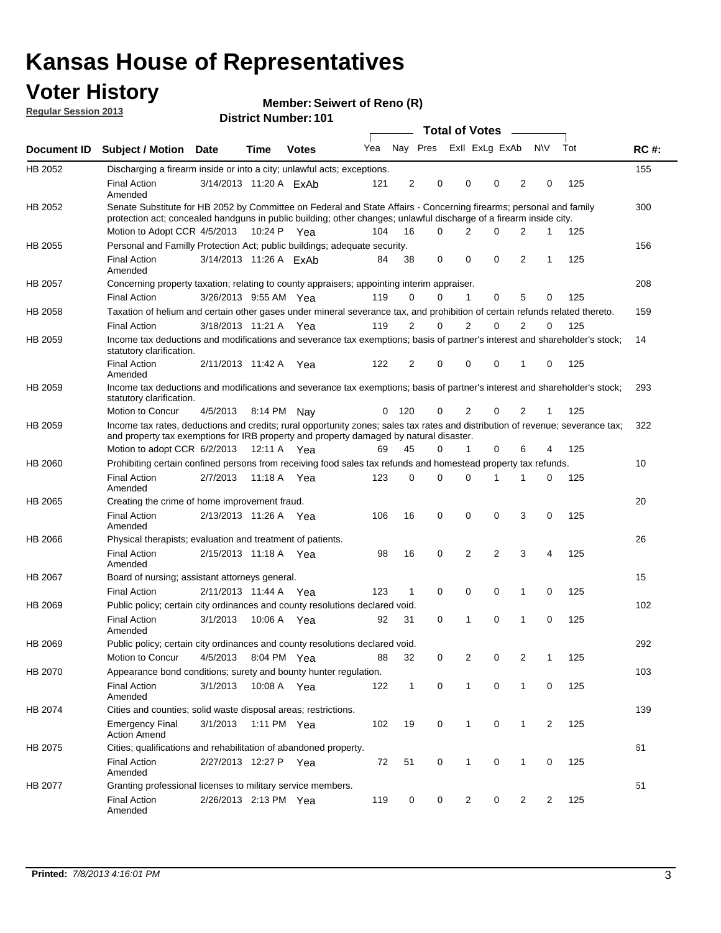### **Voter History**

**Member: Seiwert of Reno (R)** 

**Regular Session 2013**

|             |                                                                                                                                                                                                                                          |                        |         |              |     |              |                         | <b>Total of Votes</b> |                |                | $\mathcal{L}$  |              |     |             |
|-------------|------------------------------------------------------------------------------------------------------------------------------------------------------------------------------------------------------------------------------------------|------------------------|---------|--------------|-----|--------------|-------------------------|-----------------------|----------------|----------------|----------------|--------------|-----|-------------|
| Document ID | <b>Subject / Motion Date</b>                                                                                                                                                                                                             |                        | Time    | <b>Votes</b> | Yea |              | Nay Pres Exll ExLg ExAb |                       |                |                |                | <b>NV</b>    | Tot | <b>RC#:</b> |
| HB 2052     | Discharging a firearm inside or into a city; unlawful acts; exceptions.                                                                                                                                                                  |                        |         |              |     |              |                         |                       |                |                |                |              |     | 155         |
|             | <b>Final Action</b><br>Amended                                                                                                                                                                                                           | 3/14/2013 11:20 A ExAb |         |              | 121 | 2            | 0                       |                       | 0              | 0              | 2              | 0            | 125 |             |
| HB 2052     | Senate Substitute for HB 2052 by Committee on Federal and State Affairs - Concerning firearms; personal and family<br>protection act; concealed handguns in public building; other changes; unlawful discharge of a firearm inside city. |                        |         |              |     |              |                         |                       |                |                |                |              |     | 300         |
|             | Motion to Adopt CCR 4/5/2013 10:24 P Yea                                                                                                                                                                                                 |                        |         |              | 104 | 16           | 0                       |                       | 2              | 0              | 2              | $\mathbf 1$  | 125 |             |
| HB 2055     | Personal and Familly Protection Act; public buildings; adequate security.                                                                                                                                                                |                        |         |              |     |              |                         |                       |                |                |                |              |     | 156         |
|             | <b>Final Action</b><br>Amended                                                                                                                                                                                                           | 3/14/2013 11:26 A FxAb |         |              | 84  | 38           | 0                       |                       | 0              | $\Omega$       | 2              | $\mathbf{1}$ | 125 |             |
| HB 2057     | Concerning property taxation; relating to county appraisers; appointing interim appraiser.                                                                                                                                               |                        |         |              |     |              |                         |                       |                |                |                |              |     | 208         |
|             | <b>Final Action</b>                                                                                                                                                                                                                      | 3/26/2013 9:55 AM Yea  |         |              | 119 | 0            | 0                       |                       | $\mathbf{1}$   | 0              | 5              | 0            | 125 |             |
| HB 2058     | Taxation of helium and certain other gases under mineral severance tax, and prohibition of certain refunds related thereto.                                                                                                              |                        |         |              |     |              |                         |                       |                |                |                |              |     | 159         |
|             | <b>Final Action</b>                                                                                                                                                                                                                      | 3/18/2013 11:21 A Yea  |         |              | 119 | 2            | 0                       |                       | 2              | 0              | 2              | 0            | 125 |             |
| HB 2059     | Income tax deductions and modifications and severance tax exemptions; basis of partner's interest and shareholder's stock;<br>statutory clarification.                                                                                   |                        |         |              |     |              |                         |                       |                |                |                |              |     | 14          |
|             | <b>Final Action</b><br>Amended                                                                                                                                                                                                           | 2/11/2013 11:42 A Yea  |         |              | 122 | 2            | 0                       |                       | 0              | 0              | 1              | 0            | 125 |             |
| HB 2059     | Income tax deductions and modifications and severance tax exemptions; basis of partner's interest and shareholder's stock;<br>statutory clarification.                                                                                   |                        |         |              |     |              |                         |                       |                |                |                |              |     | 293         |
|             | Motion to Concur                                                                                                                                                                                                                         | 4/5/2013               |         | 8:14 PM Nav  | 0   | 120          | 0                       |                       | $\overline{2}$ | 0              | $\overline{2}$ | 1            | 125 |             |
| HB 2059     | Income tax rates, deductions and credits; rural opportunity zones; sales tax rates and distribution of revenue; severance tax;<br>and property tax exemptions for IRB property and property damaged by natural disaster.                 |                        |         |              |     |              |                         |                       |                |                |                |              |     | 322         |
|             | Motion to adopt CCR 6/2/2013                                                                                                                                                                                                             |                        | 12:11 A | Yea          | 69  | 45           | 0                       |                       | 1              | 0              | 6              | 4            | 125 |             |
| HB 2060     | Prohibiting certain confined persons from receiving food sales tax refunds and homestead property tax refunds.                                                                                                                           |                        |         |              |     |              |                         |                       |                |                |                |              |     | 10          |
|             | <b>Final Action</b><br>Amended                                                                                                                                                                                                           | 2/7/2013               | 11:18 A | Yea          | 123 | 0            | 0                       |                       | $\Omega$       | 1              | 1              | 0            | 125 |             |
| HB 2065     | Creating the crime of home improvement fraud.                                                                                                                                                                                            |                        |         |              |     |              |                         |                       |                |                |                |              |     | 20          |
|             | <b>Final Action</b><br>Amended                                                                                                                                                                                                           | 2/13/2013 11:26 A Yea  |         |              | 106 | 16           | 0                       |                       | 0              | 0              | 3              | 0            | 125 |             |
| HB 2066     | Physical therapists; evaluation and treatment of patients.                                                                                                                                                                               |                        |         |              |     |              |                         |                       |                |                |                |              |     | 26          |
|             | <b>Final Action</b><br>Amended                                                                                                                                                                                                           | 2/15/2013 11:18 A Yea  |         |              | 98  | 16           | 0                       |                       | $\overline{2}$ | $\overline{2}$ | 3              | 4            | 125 |             |
| HB 2067     | Board of nursing; assistant attorneys general.                                                                                                                                                                                           |                        |         |              |     |              |                         |                       |                |                |                |              |     | 15          |
|             | <b>Final Action</b>                                                                                                                                                                                                                      | 2/11/2013 11:44 A Yea  |         |              | 123 | 1            | 0                       |                       | 0              | 0              | $\mathbf{1}$   | 0            | 125 |             |
| HB 2069     | Public policy; certain city ordinances and county resolutions declared void.                                                                                                                                                             |                        |         |              |     |              |                         |                       |                |                |                |              |     | 102         |
|             | <b>Final Action</b><br>Amended                                                                                                                                                                                                           | 3/1/2013               |         | 10:06 A Yea  | 92  | 31           | 0                       |                       | 1              | 0              | 1              | 0            | 125 |             |
| HB 2069     | Public policy; certain city ordinances and county resolutions declared void.                                                                                                                                                             |                        |         |              |     |              |                         |                       |                |                |                |              |     | 292         |
|             | Motion to Concur                                                                                                                                                                                                                         | 4/5/2013               |         | 8:04 PM Yea  | 88  | 32           | 0                       |                       | 2              | 0              | $\overline{2}$ | 1            | 125 |             |
| HB 2070     | Appearance bond conditions; surety and bounty hunter regulation.                                                                                                                                                                         |                        |         |              |     |              |                         |                       |                |                |                |              |     | 103         |
|             | <b>Final Action</b><br>Amended                                                                                                                                                                                                           | 3/1/2013               |         | 10:08 A Yea  | 122 | $\mathbf{1}$ | 0                       |                       | 1              | 0              | 1              | 0            | 125 |             |
| HB 2074     | Cities and counties; solid waste disposal areas; restrictions.                                                                                                                                                                           |                        |         |              |     |              |                         |                       |                |                |                |              |     | 139         |
|             | <b>Emergency Final</b><br><b>Action Amend</b>                                                                                                                                                                                            | 3/1/2013               |         | 1:11 PM Yea  | 102 | 19           | 0                       |                       | $\mathbf{1}$   | 0              | $\mathbf{1}$   | 2            | 125 |             |
| HB 2075     | Cities; qualifications and rehabilitation of abandoned property.                                                                                                                                                                         |                        |         |              |     |              |                         |                       |                |                |                |              |     | 61          |
|             | <b>Final Action</b><br>Amended                                                                                                                                                                                                           | 2/27/2013 12:27 P      |         | Yea          | 72  | 51           | 0                       |                       |                | 0              | 1              | 0            | 125 |             |
| HB 2077     | Granting professional licenses to military service members.<br><b>Final Action</b>                                                                                                                                                       | 2/26/2013 2:13 PM Yea  |         |              | 119 | 0            | 0                       |                       | $\overline{2}$ | 0              | 2              | 2            | 125 | 51          |
|             | Amended                                                                                                                                                                                                                                  |                        |         |              |     |              |                         |                       |                |                |                |              |     |             |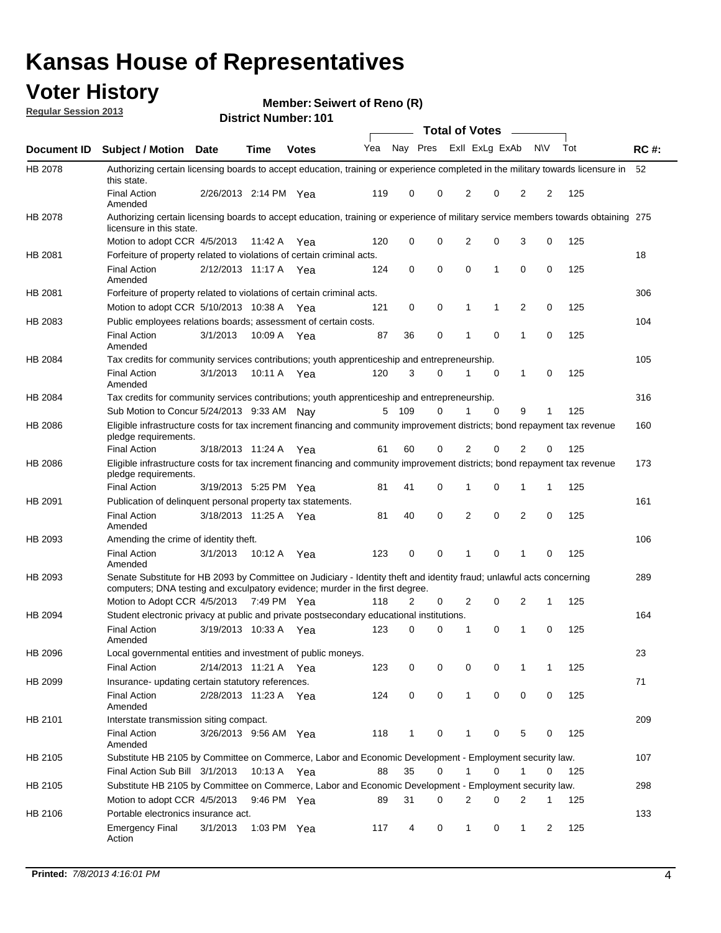### **Voter History**

**Member: Seiwert of Reno (R)** 

**Regular Session 2013**

|                    |                                                                                                                                                                                                       |                       |             | ו טו . וסעווווטדו שוווסוש |              |              |   | <b>Total of Votes</b> |             | $\overline{\phantom{a}}$ |             |     |             |
|--------------------|-------------------------------------------------------------------------------------------------------------------------------------------------------------------------------------------------------|-----------------------|-------------|---------------------------|--------------|--------------|---|-----------------------|-------------|--------------------------|-------------|-----|-------------|
| <b>Document ID</b> | <b>Subject / Motion Date</b>                                                                                                                                                                          |                       | <b>Time</b> | <b>Votes</b>              | Yea Nay Pres |              |   | Exll ExLg ExAb        |             |                          | <b>NV</b>   | Tot | <b>RC#:</b> |
| HB 2078            | Authorizing certain licensing boards to accept education, training or experience completed in the military towards licensure in<br>this state.                                                        |                       |             |                           |              |              |   |                       |             |                          |             |     | 52          |
|                    | <b>Final Action</b><br>Amended                                                                                                                                                                        | 2/26/2013 2:14 PM Yea |             |                           | 119          | 0            | 0 | 2                     | 0           | 2                        | 2           | 125 |             |
| HB 2078            | Authorizing certain licensing boards to accept education, training or experience of military service members towards obtaining 275<br>licensure in this state.                                        |                       |             |                           |              |              |   |                       |             |                          |             |     |             |
|                    | Motion to adopt CCR 4/5/2013                                                                                                                                                                          |                       | 11:42 A     | Yea                       | 120          | 0            | 0 | $\overline{2}$        | 0           | 3                        | 0           | 125 |             |
| HB 2081            | Forfeiture of property related to violations of certain criminal acts.                                                                                                                                |                       |             |                           |              |              |   |                       |             |                          |             |     | 18          |
|                    | <b>Final Action</b><br>Amended                                                                                                                                                                        | 2/12/2013 11:17 A Yea |             |                           | 124          | 0            | 0 | $\Omega$              | 1           | 0                        | 0           | 125 |             |
| HB 2081            | Forfeiture of property related to violations of certain criminal acts.                                                                                                                                |                       |             |                           |              |              |   |                       |             |                          |             |     | 306         |
|                    | Motion to adopt CCR 5/10/2013 10:38 A                                                                                                                                                                 |                       |             | Yea                       | 121          | 0            | 0 | 1                     | 1           | 2                        | 0           | 125 |             |
| HB 2083            | Public employees relations boards; assessment of certain costs.                                                                                                                                       |                       |             |                           |              |              |   |                       |             |                          |             |     | 104         |
|                    | <b>Final Action</b><br>Amended                                                                                                                                                                        | 3/1/2013              | 10:09 A     | Yea                       | 87           | 36           | 0 | 1                     | $\mathbf 0$ | 1                        | $\mathbf 0$ | 125 |             |
| HB 2084            | Tax credits for community services contributions; youth apprenticeship and entrepreneurship.                                                                                                          |                       |             |                           |              |              |   |                       |             |                          |             |     | 105         |
|                    | <b>Final Action</b><br>Amended                                                                                                                                                                        | 3/1/2013              | 10:11 A     | Yea                       | 120          | 3            | 0 | 1                     | $\mathbf 0$ | 1                        | 0           | 125 |             |
| HB 2084            | Tax credits for community services contributions; youth apprenticeship and entrepreneurship.                                                                                                          |                       |             |                           |              |              |   |                       |             |                          |             |     | 316         |
|                    | Sub Motion to Concur 5/24/2013 9:33 AM Nav                                                                                                                                                            |                       |             |                           | 5            | - 109        | 0 |                       | $\Omega$    | 9                        | 1           | 125 |             |
| HB 2086            | Eligible infrastructure costs for tax increment financing and community improvement districts; bond repayment tax revenue<br>pledge requirements.                                                     |                       |             |                           |              |              |   |                       |             |                          |             |     | 160         |
|                    | <b>Final Action</b>                                                                                                                                                                                   | 3/18/2013 11:24 A     |             | Yea                       | 61           | 60           | 0 | 2                     | 0           | $\overline{2}$           | 0           | 125 |             |
| HB 2086            | Eligible infrastructure costs for tax increment financing and community improvement districts; bond repayment tax revenue<br>pledge requirements.                                                     |                       |             |                           |              |              |   |                       |             |                          |             |     | 173         |
|                    | <b>Final Action</b>                                                                                                                                                                                   | 3/19/2013 5:25 PM Yea |             |                           | 81           | 41           | 0 | 1                     | 0           | 1                        | 1           | 125 |             |
| HB 2091            | Publication of delinguent personal property tax statements.                                                                                                                                           |                       |             |                           |              |              |   |                       |             |                          |             |     | 161         |
|                    | <b>Final Action</b><br>Amended                                                                                                                                                                        | 3/18/2013 11:25 A     |             | Yea                       | 81           | 40           | 0 | 2                     | 0           | $\overline{2}$           | 0           | 125 |             |
| HB 2093            | Amending the crime of identity theft.                                                                                                                                                                 |                       |             |                           |              |              |   |                       |             |                          |             |     | 106         |
|                    | <b>Final Action</b><br>Amended                                                                                                                                                                        | 3/1/2013              | 10:12 A     | Yea                       | 123          | 0            | 0 | 1                     | $\Omega$    | 1                        | 0           | 125 |             |
| HB 2093            | Senate Substitute for HB 2093 by Committee on Judiciary - Identity theft and identity fraud; unlawful acts concerning<br>computers; DNA testing and exculpatory evidence; murder in the first degree. |                       |             |                           |              |              |   |                       |             |                          |             |     | 289         |
|                    | Motion to Adopt CCR 4/5/2013 7:49 PM Yea                                                                                                                                                              |                       |             |                           | 118          | 2            | 0 | 2                     | 0           | 2                        | 1           | 125 |             |
| HB 2094            | Student electronic privacy at public and private postsecondary educational institutions.                                                                                                              |                       |             |                           |              |              |   |                       |             |                          |             |     | 164         |
|                    | <b>Final Action</b><br>Amended                                                                                                                                                                        | 3/19/2013 10:33 A     |             | Yea                       | 123          | 0            | 0 | 1                     | 0           | 1                        | 0           | 125 |             |
| HB 2096            | Local governmental entities and investment of public moneys.                                                                                                                                          |                       |             |                           |              |              |   |                       |             |                          |             |     | 23          |
|                    | <b>Final Action</b>                                                                                                                                                                                   | 2/14/2013 11:21 A     |             | Yea                       | 123          | 0            | 0 | 0                     | 0           | 1                        | 1           | 125 |             |
| HB 2099            | Insurance- updating certain statutory references.                                                                                                                                                     |                       |             |                           |              |              |   |                       |             |                          |             |     | 71          |
|                    | <b>Final Action</b><br>Amended                                                                                                                                                                        | 2/28/2013 11:23 A     |             | Yea                       | 124          | 0            | 0 | 1                     | 0           | 0                        | 0           | 125 |             |
| HB 2101            | Interstate transmission siting compact.                                                                                                                                                               |                       |             |                           |              |              |   |                       |             |                          |             |     | 209         |
|                    | <b>Final Action</b><br>Amended                                                                                                                                                                        | 3/26/2013 9:56 AM Yea |             |                           | 118          | $\mathbf{1}$ | 0 | 1                     | 0           | 5                        | 0           | 125 |             |
| HB 2105            | Substitute HB 2105 by Committee on Commerce, Labor and Economic Development - Employment security law.                                                                                                |                       |             |                           |              |              |   |                       |             |                          |             |     | 107         |
|                    | Final Action Sub Bill 3/1/2013                                                                                                                                                                        |                       | 10:13 A Yea |                           | 88           | 35           | 0 |                       | 0           | 1                        | 0           | 125 |             |
| HB 2105            | Substitute HB 2105 by Committee on Commerce, Labor and Economic Development - Employment security law.                                                                                                |                       |             |                           |              |              |   |                       |             |                          |             |     | 298         |
|                    | Motion to adopt CCR 4/5/2013                                                                                                                                                                          |                       | 9:46 PM Yea |                           | 89           | 31           | 0 | 2                     | 0           | 2                        | 1           | 125 |             |
| HB 2106            | Portable electronics insurance act.                                                                                                                                                                   |                       |             |                           |              |              |   |                       |             |                          |             |     | 133         |
|                    | <b>Emergency Final</b><br>Action                                                                                                                                                                      | 3/1/2013              | 1:03 PM Yea |                           | 117          | 4            | 0 | $\mathbf{1}$          | 0           | 1                        | 2           | 125 |             |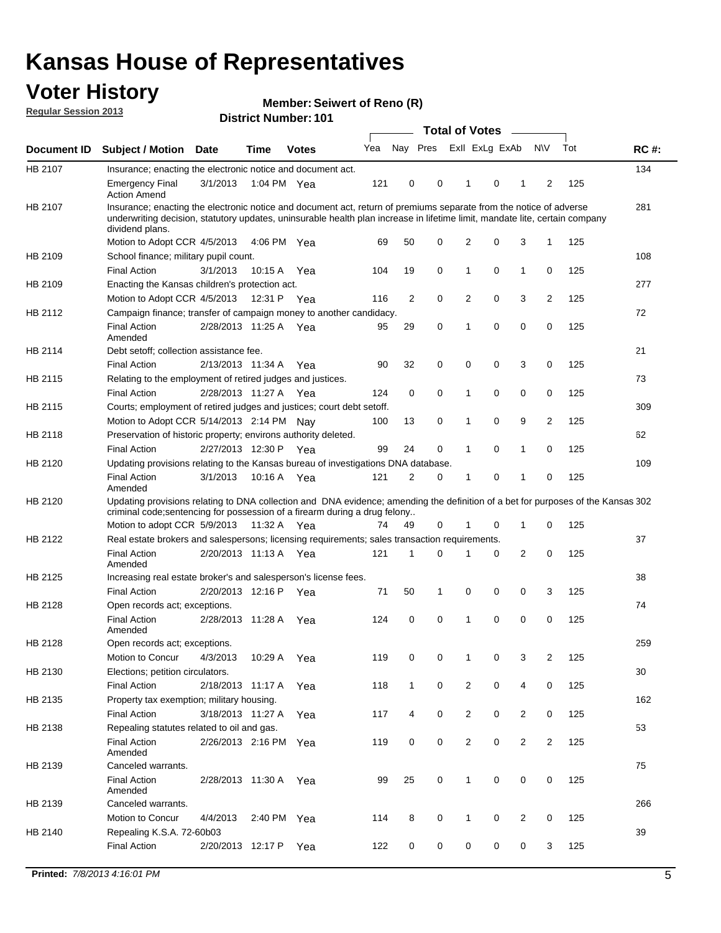### **Voter History**

**Member: Seiwert of Reno (R)** 

**Regular Session 2013**

|             |                                                                                                                                                                                                                                                                      |                       |             |              |     |              | <b>Total of Votes</b>   |                |   | $\overline{\phantom{a}}$ |                |     |             |
|-------------|----------------------------------------------------------------------------------------------------------------------------------------------------------------------------------------------------------------------------------------------------------------------|-----------------------|-------------|--------------|-----|--------------|-------------------------|----------------|---|--------------------------|----------------|-----|-------------|
| Document ID | <b>Subject / Motion</b>                                                                                                                                                                                                                                              | <b>Date</b>           | <b>Time</b> | <b>Votes</b> | Yea |              | Nay Pres Exll ExLg ExAb |                |   |                          | <b>NV</b>      | Tot | <b>RC#:</b> |
| HB 2107     | Insurance; enacting the electronic notice and document act.                                                                                                                                                                                                          |                       |             |              |     |              |                         |                |   |                          |                |     | 134         |
|             | <b>Emergency Final</b><br><b>Action Amend</b>                                                                                                                                                                                                                        | 3/1/2013              | 1:04 PM Yea |              | 121 | 0            | 0                       | 1              | 0 | 1                        | 2              | 125 |             |
| HB 2107     | Insurance; enacting the electronic notice and document act, return of premiums separate from the notice of adverse<br>underwriting decision, statutory updates, uninsurable health plan increase in lifetime limit, mandate lite, certain company<br>dividend plans. |                       |             |              |     |              |                         |                |   |                          |                |     | 281         |
|             | Motion to Adopt CCR 4/5/2013                                                                                                                                                                                                                                         |                       | 4:06 PM Yea |              | 69  | 50           | 0                       | 2              | 0 | 3                        | 1              | 125 |             |
| HB 2109     | School finance; military pupil count.                                                                                                                                                                                                                                |                       |             |              |     |              |                         |                |   |                          |                |     | 108         |
|             | <b>Final Action</b>                                                                                                                                                                                                                                                  | 3/1/2013              | 10:15 A     | Yea          | 104 | 19           | 0                       | 1              | 0 | $\mathbf{1}$             | 0              | 125 |             |
| HB 2109     | Enacting the Kansas children's protection act.                                                                                                                                                                                                                       |                       |             |              |     |              |                         |                |   |                          |                |     | 277         |
|             | Motion to Adopt CCR 4/5/2013                                                                                                                                                                                                                                         |                       | 12:31 P Yea |              | 116 | 2            | 0                       | 2              | 0 | 3                        | 2              | 125 |             |
| HB 2112     | Campaign finance; transfer of campaign money to another candidacy.                                                                                                                                                                                                   |                       |             |              |     |              |                         |                |   |                          |                |     | 72          |
|             | <b>Final Action</b><br>Amended                                                                                                                                                                                                                                       | 2/28/2013 11:25 A Yea |             |              | 95  | 29           | 0                       | 1              | 0 | 0                        | 0              | 125 |             |
| HB 2114     | Debt setoff; collection assistance fee.                                                                                                                                                                                                                              |                       |             |              |     |              |                         |                |   |                          |                |     | 21          |
|             | <b>Final Action</b>                                                                                                                                                                                                                                                  | 2/13/2013 11:34 A     |             | Yea          | 90  | 32           | 0                       | 0              | 0 | 3                        | 0              | 125 |             |
| HB 2115     | Relating to the employment of retired judges and justices.                                                                                                                                                                                                           |                       |             |              |     |              |                         |                |   |                          |                |     | 73          |
|             | <b>Final Action</b>                                                                                                                                                                                                                                                  | 2/28/2013 11:27 A     |             | Yea          | 124 | 0            | 0                       | 1              | 0 | 0                        | 0              | 125 |             |
| HB 2115     | Courts; employment of retired judges and justices; court debt setoff.                                                                                                                                                                                                |                       |             |              |     |              |                         |                |   |                          |                |     | 309         |
|             | Motion to Adopt CCR 5/14/2013 2:14 PM Nav                                                                                                                                                                                                                            |                       |             |              | 100 | 13           | 0                       | 1              | 0 | 9                        | $\overline{2}$ | 125 |             |
| HB 2118     | Preservation of historic property; environs authority deleted.                                                                                                                                                                                                       |                       |             |              |     |              |                         |                |   |                          |                |     | 62          |
|             | <b>Final Action</b>                                                                                                                                                                                                                                                  | 2/27/2013 12:30 P     |             | Yea          | 99  | 24           | 0                       | 1              | 0 | 1                        | 0              | 125 |             |
| HB 2120     | Updating provisions relating to the Kansas bureau of investigations DNA database.                                                                                                                                                                                    |                       |             |              |     |              |                         |                |   |                          |                |     | 109         |
|             | <b>Final Action</b><br>Amended                                                                                                                                                                                                                                       | 3/1/2013              | 10:16 A     | Yea          | 121 | 2            | 0                       | 1              | 0 | 1                        | 0              | 125 |             |
| HB 2120     | Updating provisions relating to DNA collection and DNA evidence; amending the definition of a bet for purposes of the Kansas 302<br>criminal code; sentencing for possession of a firearm during a drug felony                                                       |                       |             |              |     |              |                         |                |   |                          |                |     |             |
|             | Motion to adopt CCR 5/9/2013 11:32 A Yea                                                                                                                                                                                                                             |                       |             |              | 74  | 49           | 0                       | 1              | 0 | 1                        | 0              | 125 |             |
| HB 2122     | Real estate brokers and salespersons; licensing requirements; sales transaction requirements.                                                                                                                                                                        |                       |             |              |     |              |                         |                |   |                          |                |     | 37          |
|             | <b>Final Action</b><br>Amended                                                                                                                                                                                                                                       | 2/20/2013 11:13 A Yea |             |              | 121 | 1            | 0                       |                | 0 | 2                        | 0              | 125 |             |
| HB 2125     | Increasing real estate broker's and salesperson's license fees.                                                                                                                                                                                                      |                       |             |              |     |              |                         |                |   |                          |                |     | 38          |
|             | <b>Final Action</b>                                                                                                                                                                                                                                                  | 2/20/2013 12:16 P     |             | Yea          | 71  | 50           | 1                       | 0              | 0 | 0                        | 3              | 125 |             |
| HB 2128     | Open records act; exceptions.                                                                                                                                                                                                                                        |                       |             |              |     |              |                         |                |   |                          |                |     | 74          |
|             | <b>Final Action</b><br>Amended                                                                                                                                                                                                                                       | 2/28/2013 11:28 A     |             | Yea          | 124 | 0            | 0                       | 1              | 0 | 0                        | 0              | 125 |             |
| HB 2128     | Open records act; exceptions.                                                                                                                                                                                                                                        |                       |             |              |     |              |                         |                |   |                          |                |     | 259         |
|             | Motion to Concur                                                                                                                                                                                                                                                     | 4/3/2013              | 10:29 A     | Yea          | 119 | 0            | 0                       | 1              | 0 | 3                        | $\overline{2}$ | 125 |             |
| HB 2130     | Elections; petition circulators.                                                                                                                                                                                                                                     |                       |             |              |     |              |                         |                |   |                          |                |     | 30          |
|             | <b>Final Action</b>                                                                                                                                                                                                                                                  | 2/18/2013 11:17 A     |             | Yea          | 118 | $\mathbf{1}$ | 0                       | 2              | 0 | 4                        | 0              | 125 |             |
| HB 2135     | Property tax exemption; military housing.                                                                                                                                                                                                                            |                       |             |              |     |              |                         |                |   |                          |                |     | 162         |
|             | <b>Final Action</b>                                                                                                                                                                                                                                                  | 3/18/2013 11:27 A     |             | Yea          | 117 | 4            | 0                       | $\overline{2}$ | 0 | $\overline{2}$           | 0              | 125 |             |
| HB 2138     | Repealing statutes related to oil and gas.                                                                                                                                                                                                                           |                       |             |              |     |              |                         |                |   |                          |                |     | 53          |
|             | <b>Final Action</b>                                                                                                                                                                                                                                                  | 2/26/2013 2:16 PM Yea |             |              | 119 | 0            | 0                       | $\overline{2}$ | 0 | $\overline{2}$           | $\overline{2}$ | 125 |             |
|             | Amended                                                                                                                                                                                                                                                              |                       |             |              |     |              |                         |                |   |                          |                |     |             |
| HB 2139     | Canceled warrants.                                                                                                                                                                                                                                                   |                       |             |              |     |              |                         |                |   |                          |                |     | 75          |
|             | <b>Final Action</b><br>Amended                                                                                                                                                                                                                                       | 2/28/2013 11:30 A     |             | Yea          | 99  | 25           | 0                       | $\mathbf{1}$   | 0 | 0                        | 0              | 125 |             |
| HB 2139     | Canceled warrants.                                                                                                                                                                                                                                                   |                       |             |              |     |              |                         |                |   |                          |                |     | 266         |
|             | Motion to Concur                                                                                                                                                                                                                                                     | 4/4/2013              | 2:40 PM     | Yea          | 114 | 8            | 0                       | 1              | 0 | 2                        | 0              | 125 |             |
| HB 2140     | Repealing K.S.A. 72-60b03                                                                                                                                                                                                                                            |                       |             |              |     |              |                         |                |   |                          |                |     | 39          |
|             | <b>Final Action</b>                                                                                                                                                                                                                                                  | 2/20/2013 12:17 P     |             | Yea          | 122 | 0            | 0                       | 0              | 0 | 0                        | 3              | 125 |             |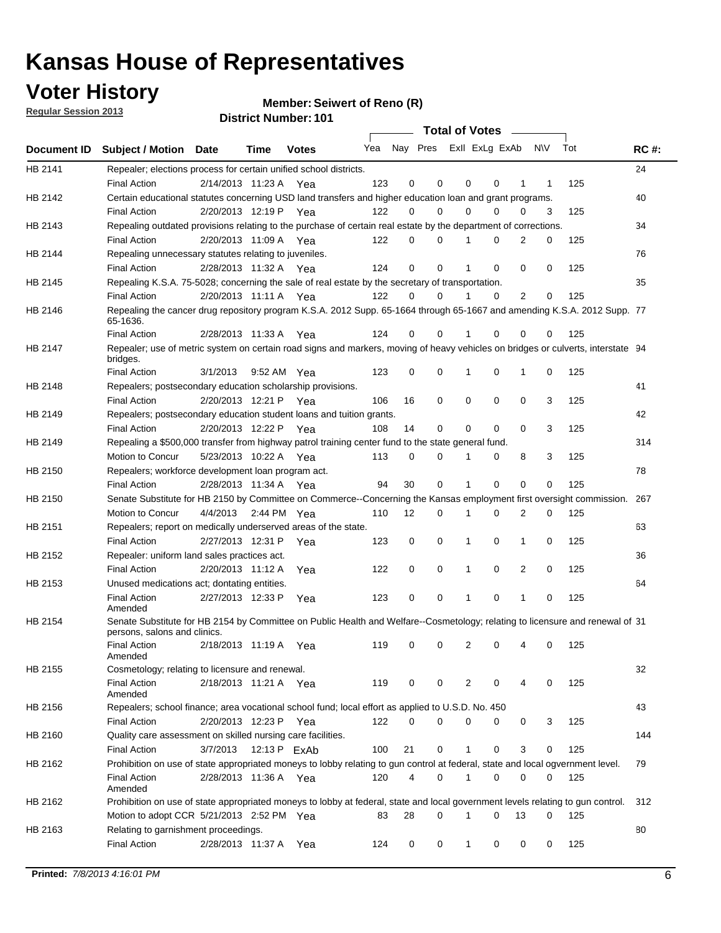**Voter History** 

**Member: Seiwert of Reno (R)** 

**Regular Session 2013**

|                |                                                                                                                                              |          |                       |              |                             |    | <b>Total of Votes</b> |              |          | $\sim$         |     |     |             |
|----------------|----------------------------------------------------------------------------------------------------------------------------------------------|----------|-----------------------|--------------|-----------------------------|----|-----------------------|--------------|----------|----------------|-----|-----|-------------|
|                | Document ID Subject / Motion Date                                                                                                            |          | Time                  | <b>Votes</b> | Yea Nay Pres ExII ExLg ExAb |    |                       |              |          |                | N\V | Tot | <b>RC#:</b> |
| HB 2141        | Repealer; elections process for certain unified school districts.                                                                            |          |                       |              |                             |    |                       |              |          |                |     |     | 24          |
|                | <b>Final Action</b>                                                                                                                          |          | 2/14/2013 11:23 A     | Yea          | 123                         | 0  | 0                     | 0            | 0        | 1              | 1   | 125 |             |
| HB 2142        | Certain educational statutes concerning USD land transfers and higher education loan and grant programs.                                     |          |                       |              |                             |    |                       |              |          |                |     |     | 40          |
|                | <b>Final Action</b>                                                                                                                          |          | 2/20/2013 12:19 P     | Yea          | 122                         | 0  | 0                     | 0            | 0        | 0              | 3   | 125 |             |
| HB 2143        | Repealing outdated provisions relating to the purchase of certain real estate by the department of corrections.                              |          |                       |              |                             |    |                       |              |          |                |     |     | 34          |
|                | <b>Final Action</b>                                                                                                                          |          | 2/20/2013 11:09 A Yea |              | 122                         | 0  | 0                     |              | 0        | $\overline{2}$ | 0   | 125 |             |
| HB 2144        | Repealing unnecessary statutes relating to juveniles.                                                                                        |          |                       |              |                             |    |                       |              |          |                |     |     | 76          |
|                | <b>Final Action</b>                                                                                                                          |          | 2/28/2013 11:32 A Yea |              | 124                         | 0  | 0                     |              | 0        | 0              | 0   | 125 |             |
| <b>HB 2145</b> | Repealing K.S.A. 75-5028; concerning the sale of real estate by the secretary of transportation.                                             |          |                       |              |                             |    |                       |              |          |                |     |     | 35          |
|                | <b>Final Action</b>                                                                                                                          |          | 2/20/2013 11:11 A Yea |              | 122                         | 0  | 0                     |              | 0        | 2              | 0   | 125 |             |
| HB 2146        | Repealing the cancer drug repository program K.S.A. 2012 Supp. 65-1664 through 65-1667 and amending K.S.A. 2012 Supp. 77<br>65-1636.         |          |                       |              |                             |    |                       |              |          |                |     |     |             |
|                | <b>Final Action</b>                                                                                                                          |          | 2/28/2013 11:33 A     | Yea          | 124                         | 0  | 0                     |              | 0        | 0              | 0   | 125 |             |
| HB 2147        | Repealer; use of metric system on certain road signs and markers, moving of heavy vehicles on bridges or culverts, interstate 94<br>bridges. |          |                       |              |                             |    |                       |              |          |                |     |     |             |
|                | <b>Final Action</b>                                                                                                                          | 3/1/2013 |                       | 9:52 AM Yea  | 123                         | 0  | 0                     | 1            | 0        | 1              | 0   | 125 |             |
| HB 2148        | Repealers; postsecondary education scholarship provisions.                                                                                   |          |                       |              |                             |    |                       |              |          |                |     |     | 41          |
|                | <b>Final Action</b>                                                                                                                          |          | 2/20/2013 12:21 P     | Yea          | 106                         | 16 | 0                     | 0            | 0        | 0              | 3   | 125 |             |
| HB 2149        | Repealers; postsecondary education student loans and tuition grants.                                                                         |          |                       |              |                             |    |                       |              |          |                |     |     | 42          |
|                | <b>Final Action</b>                                                                                                                          |          | 2/20/2013 12:22 P     | Yea          | 108                         | 14 | 0                     | 0            | 0        | $\Omega$       | 3   | 125 |             |
| HB 2149        | Repealing a \$500,000 transfer from highway patrol training center fund to the state general fund.                                           |          |                       |              |                             |    |                       |              |          |                |     |     | 314         |
|                | Motion to Concur                                                                                                                             |          | 5/23/2013 10:22 A Yea |              | 113                         | 0  | 0                     |              | 0        | 8              | 3   | 125 |             |
| HB 2150        | Repealers; workforce development loan program act.                                                                                           |          |                       |              |                             |    |                       |              |          |                |     |     | 78          |
|                | <b>Final Action</b>                                                                                                                          |          | 2/28/2013 11:34 A Yea |              | 94                          | 30 | 0                     | 1            | 0        | $\mathbf 0$    | 0   | 125 |             |
| HB 2150        | Senate Substitute for HB 2150 by Committee on Commerce--Concerning the Kansas employment first oversight commission.                         |          |                       |              |                             |    |                       |              |          |                |     |     | 267         |
|                | Motion to Concur                                                                                                                             | 4/4/2013 |                       | 2:44 PM Yea  | 110                         | 12 | 0                     | 1            | 0        | 2              | 0   | 125 |             |
| HB 2151        | Repealers; report on medically underserved areas of the state.                                                                               |          |                       |              |                             |    |                       |              |          |                |     |     | 63          |
|                | <b>Final Action</b>                                                                                                                          |          | 2/27/2013 12:31 P     | Yea          | 123                         | 0  | 0                     | 1            | 0        | 1              | 0   | 125 |             |
| HB 2152        | Repealer: uniform land sales practices act.                                                                                                  |          |                       |              |                             |    |                       |              |          |                |     |     | 36          |
|                | <b>Final Action</b>                                                                                                                          |          | 2/20/2013 11:12 A     | Yea          | 122                         | 0  | 0                     | 1            | 0        | 2              | 0   | 125 |             |
| HB 2153        | Unused medications act; dontating entities.                                                                                                  |          |                       |              |                             |    |                       |              |          |                |     |     | 64          |
|                | <b>Final Action</b><br>Amended                                                                                                               |          | 2/27/2013 12:33 P     | Yea          | 123                         | 0  | 0                     |              | 0        | 1              | 0   | 125 |             |
| HB 2154        | Senate Substitute for HB 2154 by Committee on Public Health and Welfare--Cosmetology; relating to licensure and renewal of 31                |          |                       |              |                             |    |                       |              |          |                |     |     |             |
|                | persons, salons and clinics.                                                                                                                 |          |                       |              |                             |    |                       |              |          |                |     |     |             |
|                | <b>Final Action</b><br>Amended                                                                                                               |          | 2/18/2013 11:19 A     | Yea          | 119                         | 0  | 0                     | 2            | 0        |                | 0   | 125 |             |
| HB 2155        | Cosmetology; relating to licensure and renewal.                                                                                              |          |                       |              |                             |    |                       |              |          |                |     |     | 32          |
|                | <b>Final Action</b><br>Amended                                                                                                               |          | 2/18/2013 11:21 A Yea |              | 119                         | 0  | 0                     | 2            | 0        | 4              | 0   | 125 |             |
| HB 2156        | Repealers; school finance; area vocational school fund; local effort as applied to U.S.D. No. 450                                            |          |                       |              |                             |    |                       |              |          |                |     |     | 43          |
|                | <b>Final Action</b>                                                                                                                          |          | 2/20/2013 12:23 P     | Yea          | 122                         | 0  | 0                     | 0            | 0        | 0              | 3   | 125 |             |
| HB 2160        | Quality care assessment on skilled nursing care facilities.                                                                                  |          |                       |              |                             |    |                       |              |          |                |     |     | 144         |
|                | <b>Final Action</b>                                                                                                                          | 3/7/2013 |                       | 12:13 P ExAb | 100                         | 21 | 0                     | $\mathbf{1}$ | 0        | 3              | 0   | 125 |             |
| HB 2162        | Prohibition on use of state appropriated moneys to lobby relating to gun control at federal, state and local ogvernment level.               |          |                       |              |                             |    |                       |              |          |                |     |     | 79          |
|                | <b>Final Action</b>                                                                                                                          |          | 2/28/2013 11:36 A Yea |              | 120                         | 4  | 0                     | 1            | 0        | 0              | 0   | 125 |             |
|                | Amended                                                                                                                                      |          |                       |              |                             |    |                       |              |          |                |     |     |             |
| HB 2162        | Prohibition on use of state appropriated moneys to lobby at federal, state and local government levels relating to gun control.              |          |                       |              |                             |    |                       |              |          |                |     |     | 312         |
|                | Motion to adopt CCR 5/21/2013 2:52 PM Yea                                                                                                    |          |                       |              | 83                          | 28 | 0                     | 1            | $\Omega$ | 13             | 0   | 125 |             |
| HB 2163        | Relating to garnishment proceedings.                                                                                                         |          |                       |              |                             |    |                       |              |          |                |     |     | 80          |
|                | <b>Final Action</b>                                                                                                                          |          | 2/28/2013 11:37 A Yea |              | 124                         | 0  | 0                     | $\mathbf{1}$ | 0        | 0              | 0   | 125 |             |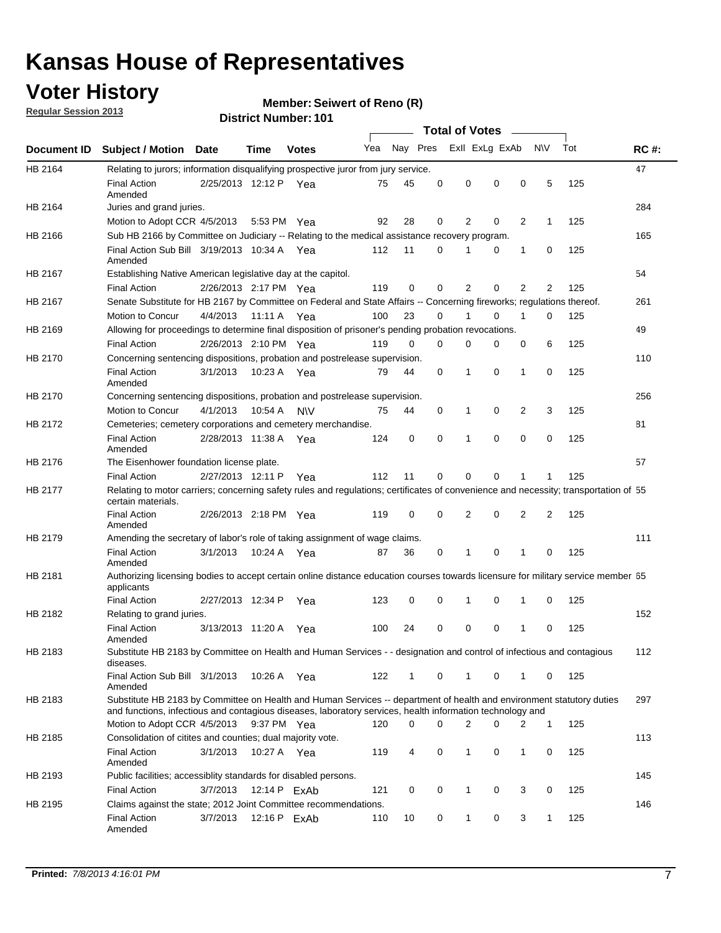### **Voter History**

**Member: Seiwert of Reno (R)** 

**Regular Session 2013**

|             |                                                                                                                                                                                                                                    |                       |             | ו טו השמות האו וטו ש |     |              |          | <b>Total of Votes</b> |          | $\sim$         |              |     |             |
|-------------|------------------------------------------------------------------------------------------------------------------------------------------------------------------------------------------------------------------------------------|-----------------------|-------------|----------------------|-----|--------------|----------|-----------------------|----------|----------------|--------------|-----|-------------|
| Document ID | <b>Subject / Motion Date</b>                                                                                                                                                                                                       |                       | <b>Time</b> | <b>Votes</b>         | Yea | Nay Pres     |          | Exll ExLg ExAb        |          |                | <b>NV</b>    | Tot | <b>RC#:</b> |
| HB 2164     | Relating to jurors; information disqualifying prospective juror from jury service.                                                                                                                                                 |                       |             |                      |     |              |          |                       |          |                |              |     | 47          |
|             | <b>Final Action</b><br>Amended                                                                                                                                                                                                     | 2/25/2013 12:12 P Yea |             |                      | 75  | 45           | 0        | 0                     | 0        | 0              | 5            | 125 |             |
| HB 2164     | Juries and grand juries.                                                                                                                                                                                                           |                       |             |                      |     |              |          |                       |          |                |              |     | 284         |
|             | Motion to Adopt CCR 4/5/2013                                                                                                                                                                                                       |                       | 5:53 PM Yea |                      | 92  | 28           | 0        | 2                     | 0        | $\overline{2}$ | 1            | 125 |             |
| HB 2166     | Sub HB 2166 by Committee on Judiciary -- Relating to the medical assistance recovery program.                                                                                                                                      |                       |             |                      |     |              |          |                       |          |                |              |     | 165         |
|             | Final Action Sub Bill 3/19/2013 10:34 A Yea<br>Amended                                                                                                                                                                             |                       |             |                      | 112 | 11           | $\Omega$ | 1                     | 0        | 1              | 0            | 125 |             |
| HB 2167     | Establishing Native American legislative day at the capitol.                                                                                                                                                                       |                       |             |                      |     |              |          |                       |          |                |              |     | 54          |
|             | <b>Final Action</b>                                                                                                                                                                                                                | 2/26/2013 2:17 PM Yea |             |                      | 119 | 0            | 0        | 2                     | 0        | $\overline{2}$ | 2            | 125 |             |
| HB 2167     | Senate Substitute for HB 2167 by Committee on Federal and State Affairs -- Concerning fireworks; regulations thereof.                                                                                                              |                       |             |                      |     |              |          |                       |          |                |              |     | 261         |
|             | Motion to Concur                                                                                                                                                                                                                   | 4/4/2013              | 11:11 A Yea |                      | 100 | 23           | 0        | 1                     | 0        | 1              | 0            | 125 |             |
| HB 2169     | Allowing for proceedings to determine final disposition of prisoner's pending probation revocations.                                                                                                                               |                       |             |                      |     |              |          |                       |          |                |              |     | 49          |
|             | <b>Final Action</b>                                                                                                                                                                                                                | 2/26/2013 2:10 PM Yea |             |                      | 119 | 0            | $\Omega$ | 0                     | 0        | 0              | 6            | 125 |             |
| HB 2170     | Concerning sentencing dispositions, probation and postrelease supervision.                                                                                                                                                         |                       |             |                      |     |              |          |                       |          |                |              |     | 110         |
|             | <b>Final Action</b><br>Amended                                                                                                                                                                                                     | 3/1/2013              | 10:23 A Yea |                      | 79  | 44           | 0        | 1                     | 0        | 1              | 0            | 125 |             |
| HB 2170     | Concerning sentencing dispositions, probation and postrelease supervision.                                                                                                                                                         |                       |             |                      |     |              |          |                       |          |                |              |     | 256         |
|             | Motion to Concur                                                                                                                                                                                                                   | 4/1/2013              | 10.54 A     | <b>NV</b>            | 75  | 44           | 0        | 1                     | 0        | $\overline{2}$ | 3            | 125 |             |
| HB 2172     | Cemeteries; cemetery corporations and cemetery merchandise.                                                                                                                                                                        |                       |             |                      |     |              |          |                       |          |                |              |     | 81          |
|             | <b>Final Action</b><br>Amended                                                                                                                                                                                                     | 2/28/2013 11:38 A     |             | Yea                  | 124 | 0            | 0        | 1                     | $\Omega$ | $\Omega$       | 0            | 125 |             |
| HB 2176     | The Eisenhower foundation license plate.                                                                                                                                                                                           |                       |             |                      |     |              |          |                       |          |                |              |     | 57          |
|             | <b>Final Action</b>                                                                                                                                                                                                                | 2/27/2013 12:11 P     |             | Yea                  | 112 | 11           | 0        | 0                     | 0        | 1              | 1            | 125 |             |
| HB 2177     | Relating to motor carriers; concerning safety rules and regulations; certificates of convenience and necessity; transportation of 55<br>certain materials.                                                                         |                       |             |                      |     |              |          |                       |          |                |              |     |             |
|             | <b>Final Action</b><br>Amended                                                                                                                                                                                                     | 2/26/2013 2:18 PM Yea |             |                      | 119 | 0            | 0        | 2                     | 0        | $\overline{2}$ | 2            | 125 |             |
| HB 2179     | Amending the secretary of labor's role of taking assignment of wage claims.                                                                                                                                                        |                       |             |                      |     |              |          |                       |          |                |              |     | 111         |
|             | <b>Final Action</b><br>Amended                                                                                                                                                                                                     | 3/1/2013              | 10:24 A Yea |                      | 87  | 36           | 0        | 1                     | 0        | 1              | 0            | 125 |             |
| HB 2181     | Authorizing licensing bodies to accept certain online distance education courses towards licensure for military service member 55<br>applicants                                                                                    |                       |             |                      |     |              |          |                       |          |                |              |     |             |
|             | <b>Final Action</b>                                                                                                                                                                                                                | 2/27/2013 12:34 P     |             | Yea                  | 123 | 0            | 0        | 1                     | 0        | 1              | 0            | 125 |             |
| HB 2182     | Relating to grand juries.                                                                                                                                                                                                          |                       |             |                      |     |              |          |                       |          |                |              |     | 152         |
|             | <b>Final Action</b><br>Amended                                                                                                                                                                                                     | 3/13/2013 11:20 A     |             | Yea                  | 100 | 24           | 0        | 0                     | 0        | 1              | 0            | 125 |             |
| HB 2183     | Substitute HB 2183 by Committee on Health and Human Services - - designation and control of infectious and contagious<br>diseases.                                                                                                 |                       |             |                      |     |              |          |                       |          |                |              |     | 112         |
|             | Final Action Sub Bill 3/1/2013<br>Amended                                                                                                                                                                                          |                       | 10:26 A Yea |                      | 122 | $\mathbf{1}$ | 0        | 1                     | 0        | 1              | 0            | 125 |             |
| HB 2183     | Substitute HB 2183 by Committee on Health and Human Services -- department of health and environment statutory duties<br>and functions, infectious and contagious diseases, laboratory services, health information technology and |                       |             |                      |     |              |          |                       |          |                |              |     | 297         |
|             | Motion to Adopt CCR 4/5/2013                                                                                                                                                                                                       |                       | 9:37 PM Yea |                      | 120 | 0            | 0        | 2                     | 0        | 2              | 1            | 125 |             |
| HB 2185     | Consolidation of citites and counties; dual majority vote.                                                                                                                                                                         |                       |             |                      |     |              |          |                       |          |                |              |     | 113         |
|             | <b>Final Action</b><br>Amended                                                                                                                                                                                                     | 3/1/2013              | 10:27 A Yea |                      | 119 | 4            | 0        | 1                     | 0        | $\mathbf{1}$   | 0            | 125 |             |
| HB 2193     | Public facilities; accessiblity standards for disabled persons.                                                                                                                                                                    |                       |             |                      |     |              |          |                       |          |                |              |     | 145         |
|             | <b>Final Action</b>                                                                                                                                                                                                                | 3/7/2013              |             | 12:14 P ExAb         | 121 | 0            | 0        | 1                     | 0        | 3              | 0            | 125 |             |
| HB 2195     | Claims against the state; 2012 Joint Committee recommendations.                                                                                                                                                                    |                       |             |                      |     |              |          |                       |          |                |              |     | 146         |
|             | <b>Final Action</b><br>Amended                                                                                                                                                                                                     | 3/7/2013              |             | 12:16 P ExAb         | 110 | 10           | 0        | 1                     | 0        | 3              | $\mathbf{1}$ | 125 |             |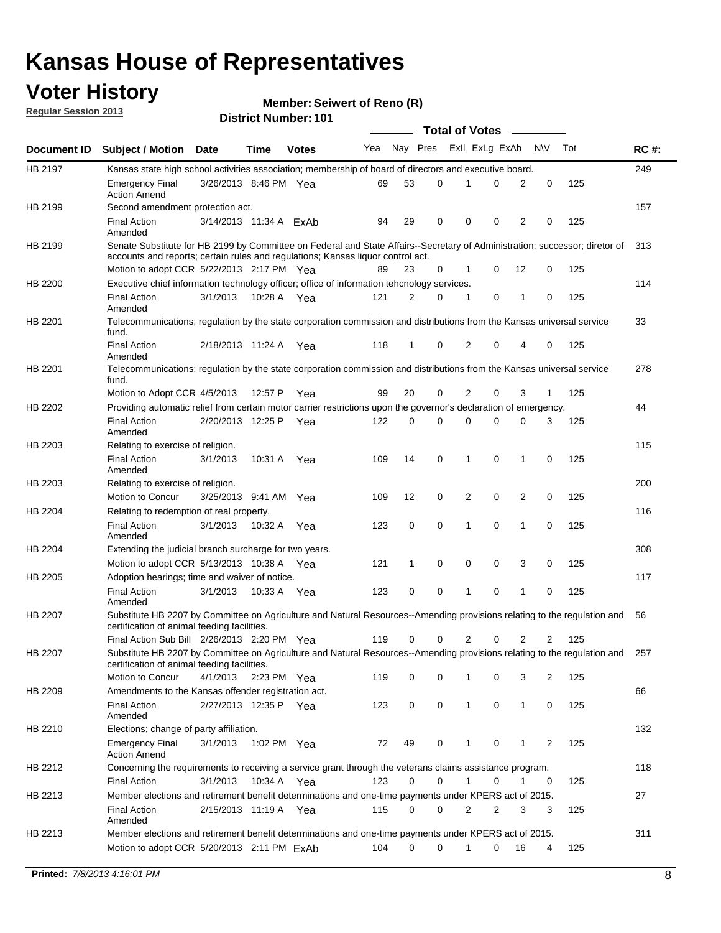### **Voter History**

**Member: Seiwert of Reno (R)** 

**Regular Session 2013**

|                    |                                                                                                                                                                                                                |                        |             | ו טו . וסעווווטדו שו ווסוש |     |              | <b>Total of Votes</b> |                |   |              |           |     |             |
|--------------------|----------------------------------------------------------------------------------------------------------------------------------------------------------------------------------------------------------------|------------------------|-------------|----------------------------|-----|--------------|-----------------------|----------------|---|--------------|-----------|-----|-------------|
| <b>Document ID</b> | <b>Subject / Motion Date</b>                                                                                                                                                                                   |                        | <b>Time</b> | <b>Votes</b>               | Yea | Nay Pres     |                       | Exll ExLg ExAb |   |              | <b>NV</b> | Tot | <b>RC#:</b> |
| HB 2197            | Kansas state high school activities association; membership of board of directors and executive board.                                                                                                         |                        |             |                            |     |              |                       |                |   |              |           |     | 249         |
|                    | <b>Emergency Final</b><br><b>Action Amend</b>                                                                                                                                                                  | 3/26/2013 8:46 PM Yea  |             |                            | 69  | 53           | 0                     | 1              | 0 | 2            | 0         | 125 |             |
| HB 2199            | Second amendment protection act.                                                                                                                                                                               |                        |             |                            |     |              |                       |                |   |              |           |     | 157         |
|                    | <b>Final Action</b><br>Amended                                                                                                                                                                                 | 3/14/2013 11:34 A ExAb |             |                            | 94  | 29           | 0                     | 0              | 0 | 2            | 0         | 125 |             |
| HB 2199            | Senate Substitute for HB 2199 by Committee on Federal and State Affairs--Secretary of Administration; successor; diretor of<br>accounts and reports; certain rules and regulations; Kansas liquor control act. |                        |             |                            |     |              |                       |                |   |              |           |     | 313         |
|                    | Motion to adopt CCR 5/22/2013 2:17 PM Yea                                                                                                                                                                      |                        |             |                            | 89  | 23           | 0                     | $\mathbf 1$    | 0 | 12           | 0         | 125 |             |
| HB 2200            | Executive chief information technology officer; office of information tehcnology services.                                                                                                                     |                        |             |                            |     |              |                       |                |   |              |           |     | 114         |
|                    | <b>Final Action</b><br>Amended                                                                                                                                                                                 | 3/1/2013               | 10:28 A Yea |                            | 121 | 2            | 0                     | 1              | 0 | 1            | 0         | 125 |             |
| HB 2201            | Telecommunications; regulation by the state corporation commission and distributions from the Kansas universal service<br>fund.                                                                                |                        |             |                            |     |              |                       |                |   |              |           |     | 33          |
|                    | <b>Final Action</b><br>Amended                                                                                                                                                                                 | 2/18/2013 11:24 A      |             | Yea                        | 118 | 1            | 0                     | 2              | 0 | 4            | 0         | 125 |             |
| HB 2201            | Telecommunications; regulation by the state corporation commission and distributions from the Kansas universal service<br>fund.                                                                                |                        |             |                            |     |              |                       |                |   |              |           |     | 278         |
|                    | Motion to Adopt CCR 4/5/2013                                                                                                                                                                                   |                        | 12:57 P     | Yea                        | 99  | 20           | 0                     | 2              | 0 | 3            | 1         | 125 |             |
| HB 2202            | Providing automatic relief from certain motor carrier restrictions upon the governor's declaration of emergency.                                                                                               |                        |             |                            |     |              |                       |                |   |              |           |     | 44          |
|                    | <b>Final Action</b><br>Amended                                                                                                                                                                                 | 2/20/2013 12:25 P      |             | Yea                        | 122 | 0            | 0                     | $\Omega$       | 0 | 0            | 3         | 125 |             |
| HB 2203            | Relating to exercise of religion.                                                                                                                                                                              |                        |             |                            |     |              |                       |                |   |              |           |     | 115         |
|                    | <b>Final Action</b><br>Amended                                                                                                                                                                                 | 3/1/2013               | 10:31 A     | Yea                        | 109 | 14           | 0                     | 1              | 0 | 1            | 0         | 125 |             |
| HB 2203            | Relating to exercise of religion.                                                                                                                                                                              |                        |             |                            |     |              |                       |                |   |              |           |     | 200         |
|                    | Motion to Concur                                                                                                                                                                                               | 3/25/2013 9:41 AM      |             | Yea                        | 109 | 12           | 0                     | 2              | 0 | 2            | 0         | 125 |             |
| HB 2204            | Relating to redemption of real property.                                                                                                                                                                       |                        |             |                            |     |              |                       |                |   |              |           |     | 116         |
|                    | <b>Final Action</b><br>Amended                                                                                                                                                                                 | 3/1/2013               | 10:32 A     | Yea                        | 123 | 0            | 0                     | 1              | 0 | 1            | 0         | 125 |             |
| HB 2204            | Extending the judicial branch surcharge for two years.                                                                                                                                                         |                        |             |                            |     |              |                       |                |   |              |           |     | 308         |
|                    | Motion to adopt CCR $5/13/2013$ 10:38 A Yea                                                                                                                                                                    |                        |             |                            | 121 | $\mathbf{1}$ | 0                     | 0              | 0 | 3            | 0         | 125 |             |
| HB 2205            | Adoption hearings; time and waiver of notice.                                                                                                                                                                  |                        |             |                            |     |              |                       |                |   |              |           |     | 117         |
|                    | <b>Final Action</b><br>Amended                                                                                                                                                                                 | 3/1/2013               | 10:33 A Yea |                            | 123 | 0            | 0                     | 1              | 0 | 1            | 0         | 125 |             |
| HB 2207            | Substitute HB 2207 by Committee on Agriculture and Natural Resources--Amending provisions relating to the regulation and<br>certification of animal feeding facilities.                                        |                        |             |                            |     |              |                       |                |   |              |           |     | 56          |
|                    | Final Action Sub Bill 2/26/2013 2:20 PM Yea                                                                                                                                                                    |                        |             |                            | 119 | 0            | 0                     | 2              | 0 | 2            | 2         | 125 |             |
| HB 2207            | Substitute HB 2207 by Committee on Agriculture and Natural Resources--Amending provisions relating to the regulation and<br>certification of animal feeding facilities.                                        |                        |             |                            |     |              |                       |                |   |              |           |     | 257         |
|                    | Motion to Concur                                                                                                                                                                                               | 4/1/2013 2:23 PM Yea   |             |                            | 119 | 0            | 0                     | 1              | 0 | 3            | 2         | 125 |             |
| HB 2209            | Amendments to the Kansas offender registration act.                                                                                                                                                            |                        |             |                            |     |              |                       |                |   |              |           |     | 66          |
|                    | <b>Final Action</b><br>Amended                                                                                                                                                                                 | 2/27/2013 12:35 P Yea  |             |                            | 123 | 0            | 0                     | 1              | 0 | $\mathbf{1}$ | 0         | 125 |             |
| HB 2210            | Elections; change of party affiliation.                                                                                                                                                                        |                        |             |                            |     |              |                       |                |   |              |           |     | 132         |
|                    | Emergency Final<br><b>Action Amend</b>                                                                                                                                                                         | 3/1/2013               | 1:02 PM Yea |                            | 72  | 49           | 0                     | 1              | 0 | 1            | 2         | 125 |             |
| HB 2212            | Concerning the requirements to receiving a service grant through the veterans claims assistance program.                                                                                                       |                        |             |                            |     |              |                       |                |   |              |           |     | 118         |
|                    | <b>Final Action</b>                                                                                                                                                                                            | 3/1/2013               | 10:34 A     | Yea                        | 123 | 0            | 0                     | 1              | 0 | 1            | 0         | 125 |             |
| HB 2213            | Member elections and retirement benefit determinations and one-time payments under KPERS act of 2015.                                                                                                          |                        |             |                            |     |              |                       |                |   |              |           |     | 27          |
|                    | <b>Final Action</b>                                                                                                                                                                                            | 2/15/2013 11:19 A Yea  |             |                            | 115 | 0            | 0                     | 2              | 2 | 3            | 3         | 125 |             |
| HB 2213            | Amended<br>Member elections and retirement benefit determinations and one-time payments under KPERS act of 2015.                                                                                               |                        |             |                            |     |              |                       |                |   |              |           |     | 311         |
|                    | Motion to adopt CCR 5/20/2013 2:11 PM ExAb                                                                                                                                                                     |                        |             |                            | 104 | 0            | 0                     | 1              | 0 | 16           | 4         | 125 |             |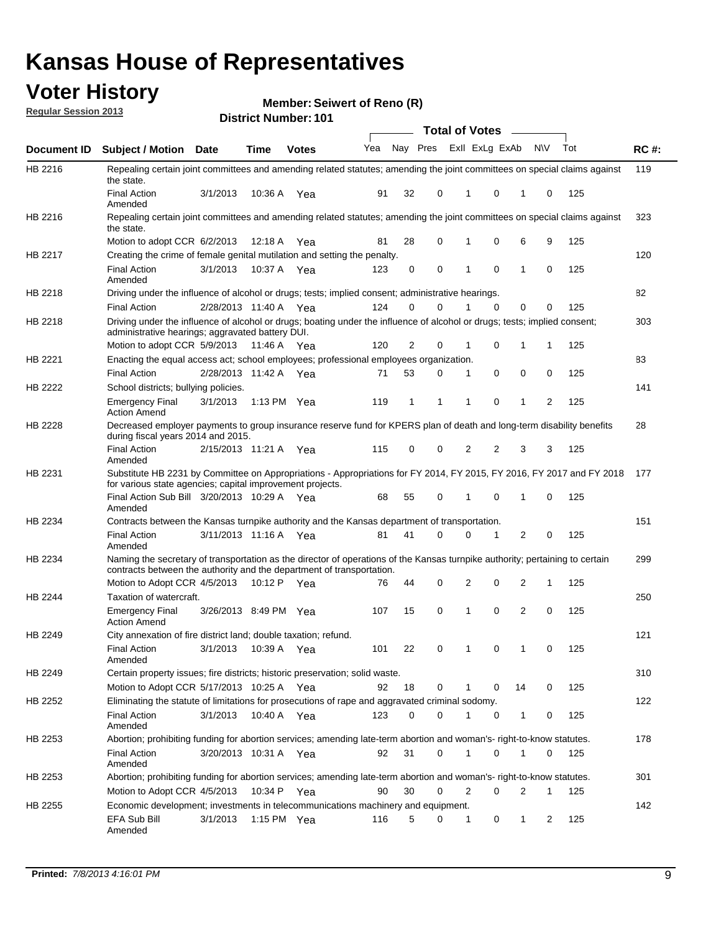### **Voter History**

**Member: Seiwert of Reno (R)** 

**Regular Session 2013**

|                    |                                                                                                                                                                                                       |                       |         | ו טו . וסטווווטדו וטווע |              |    |   | <b>Total of Votes</b> |          | $\sim$         |           |     |             |
|--------------------|-------------------------------------------------------------------------------------------------------------------------------------------------------------------------------------------------------|-----------------------|---------|-------------------------|--------------|----|---|-----------------------|----------|----------------|-----------|-----|-------------|
| <b>Document ID</b> | <b>Subject / Motion Date</b>                                                                                                                                                                          |                       | Time    | <b>Votes</b>            | Yea Nay Pres |    |   | Exll ExLg ExAb        |          |                | <b>NV</b> | Tot | <b>RC#:</b> |
| HB 2216            | Repealing certain joint committees and amending related statutes; amending the joint committees on special claims against<br>the state.                                                               |                       |         |                         |              |    |   |                       |          |                |           |     | 119         |
|                    | <b>Final Action</b><br>Amended                                                                                                                                                                        | 3/1/2013              | 10:36 A | Yea                     | 91           | 32 | 0 | 1                     | 0        | 1              | 0         | 125 |             |
| HB 2216            | Repealing certain joint committees and amending related statutes; amending the joint committees on special claims against<br>the state.                                                               |                       |         |                         |              |    |   |                       |          |                |           |     | 323         |
|                    | Motion to adopt CCR 6/2/2013                                                                                                                                                                          |                       | 12:18 A | Yea                     | 81           | 28 | 0 | 1                     | 0        | 6              | 9         | 125 |             |
| HB 2217            | Creating the crime of female genital mutilation and setting the penalty.                                                                                                                              |                       |         |                         |              |    |   |                       |          |                |           |     | 120         |
|                    | <b>Final Action</b><br>Amended                                                                                                                                                                        | 3/1/2013              |         | 10:37 A Yea             | 123          | 0  | 0 | 1                     | 0        | $\mathbf{1}$   | 0         | 125 |             |
| HB 2218            | Driving under the influence of alcohol or drugs; tests; implied consent; administrative hearings.                                                                                                     |                       |         |                         |              |    |   |                       |          |                |           |     | 82          |
|                    | <b>Final Action</b>                                                                                                                                                                                   | 2/28/2013 11:40 A Yea |         |                         | 124          | 0  | 0 |                       | $\Omega$ | 0              | 0         | 125 |             |
| HB 2218            | Driving under the influence of alcohol or drugs; boating under the influence of alcohol or drugs; tests; implied consent;<br>administrative hearings; aggravated battery DUI.                         |                       |         |                         |              |    |   |                       |          |                |           |     | 303         |
|                    | Motion to adopt CCR 5/9/2013 11:46 A                                                                                                                                                                  |                       |         | Yea                     | 120          | 2  | 0 | 1                     | 0        | 1              | 1         | 125 |             |
| HB 2221            | Enacting the equal access act; school employees; professional employees organization.                                                                                                                 |                       |         |                         |              |    |   |                       |          |                |           |     | 83          |
|                    | <b>Final Action</b>                                                                                                                                                                                   | 2/28/2013 11:42 A     |         | Yea                     | 71           | 53 | 0 | 1                     | 0        | 0              | 0         | 125 |             |
| HB 2222            | School districts; bullying policies.                                                                                                                                                                  |                       |         |                         |              |    |   |                       |          |                |           |     | 141         |
|                    | <b>Emergency Final</b><br><b>Action Amend</b>                                                                                                                                                         | 3/1/2013              |         | 1:13 PM $Yea$           | 119          | 1  | 1 | 1                     | 0        | 1              | 2         | 125 |             |
| HB 2228            | Decreased employer payments to group insurance reserve fund for KPERS plan of death and long-term disability benefits<br>during fiscal years 2014 and 2015.                                           |                       |         |                         |              |    |   |                       |          |                |           |     | 28          |
|                    | <b>Final Action</b><br>Amended                                                                                                                                                                        | 2/15/2013 11:21 A Yea |         |                         | 115          | 0  | 0 | 2                     | 2        | 3              | 3         | 125 |             |
| HB 2231            | Substitute HB 2231 by Committee on Appropriations - Appropriations for FY 2014, FY 2015, FY 2016, FY 2017 and FY 2018<br>for various state agencies; capital improvement projects.                    |                       |         |                         |              |    |   |                       |          |                |           |     | 177         |
|                    | Final Action Sub Bill 3/20/2013 10:29 A Yea<br>Amended                                                                                                                                                |                       |         |                         | 68           | 55 | 0 |                       | 0        | 1              | 0         | 125 |             |
| HB 2234            | Contracts between the Kansas turnpike authority and the Kansas department of transportation.                                                                                                          |                       |         |                         |              |    |   |                       |          |                |           |     | 151         |
|                    | <b>Final Action</b><br>Amended                                                                                                                                                                        | 3/11/2013 11:16 A Yea |         |                         | 81           | 41 | 0 | 0                     | 1        | $\overline{2}$ | 0         | 125 |             |
| HB 2234            | Naming the secretary of transportation as the director of operations of the Kansas turnpike authority; pertaining to certain<br>contracts between the authority and the department of transportation. |                       |         |                         |              |    |   |                       |          |                |           |     | 299         |
|                    | Motion to Adopt CCR 4/5/2013                                                                                                                                                                          |                       | 10:12 P | Yea                     | 76           | 44 | 0 | 2                     | 0        | 2              | 1         | 125 |             |
| <b>HB 2244</b>     | Taxation of watercraft.<br><b>Emergency Final</b><br><b>Action Amend</b>                                                                                                                              | 3/26/2013 8:49 PM Yea |         |                         | 107          | 15 | 0 | 1                     | 0        | 2              | 0         | 125 | 250         |
| HB 2249            | City annexation of fire district land; double taxation; refund.                                                                                                                                       |                       |         |                         |              |    |   |                       |          |                |           |     | 121         |
|                    | Final Action 3/1/2013 10:39 A Yea<br>Amended                                                                                                                                                          |                       |         |                         | 101          | 22 | 0 | $\mathbf{1}$          | 0        | $\mathbf{1}$   | 0         | 125 |             |
| HB 2249            | Certain property issues; fire districts; historic preservation; solid waste.                                                                                                                          |                       |         |                         |              |    |   |                       |          |                |           |     | 310         |
|                    | Motion to Adopt CCR 5/17/2013 10:25 A Yea                                                                                                                                                             |                       |         |                         | 92           | 18 | 0 | 1                     | 0        | 14             | 0         | 125 |             |
| HB 2252            | Eliminating the statute of limitations for prosecutions of rape and aggravated criminal sodomy.                                                                                                       |                       |         |                         |              |    |   |                       |          |                |           |     | 122         |
|                    | <b>Final Action</b><br>Amended                                                                                                                                                                        | 3/1/2013              |         | 10:40 A Yea             | 123          | 0  | 0 |                       | 0        | 1              | 0         | 125 |             |
| HB 2253            | Abortion; prohibiting funding for abortion services; amending late-term abortion and woman's- right-to-know statutes.                                                                                 |                       |         |                         |              |    |   |                       |          |                |           |     | 178         |
|                    | <b>Final Action</b><br>Amended                                                                                                                                                                        | 3/20/2013 10:31 A Yea |         |                         | 92           | 31 | 0 | 1                     | 0        | 1              | 0         | 125 |             |
| HB 2253            | Abortion; prohibiting funding for abortion services; amending late-term abortion and woman's- right-to-know statutes.                                                                                 |                       |         |                         |              |    |   |                       |          |                |           |     | 301         |
|                    | Motion to Adopt CCR 4/5/2013                                                                                                                                                                          |                       |         | 10:34 P Yea             | 90           | 30 | 0 | 2                     | 0        | 2              | 1         | 125 |             |
| HB 2255            | Economic development; investments in telecommunications machinery and equipment.                                                                                                                      |                       |         |                         |              |    |   |                       |          |                |           |     | 142         |
|                    | EFA Sub Bill<br>Amended                                                                                                                                                                               | 3/1/2013              |         | 1:15 PM $Yea$           | 116          | 5  | 0 | -1                    | 0        | 1              | 2         | 125 |             |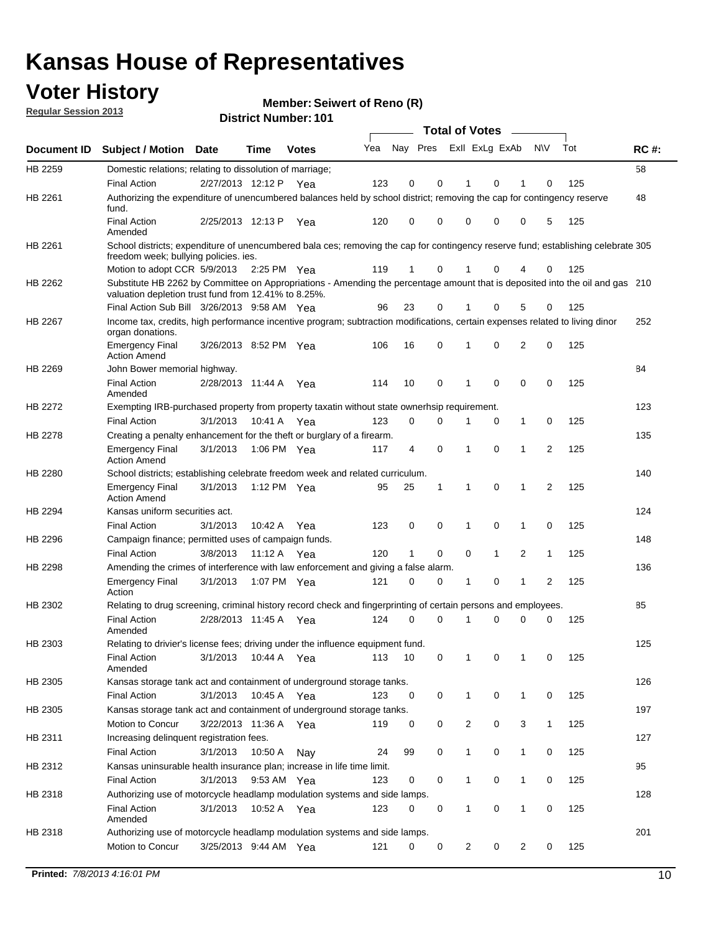### **Voter History**

**Member: Seiwert of Reno (R)** 

**Regular Session 2013**

|             |                                                                                                                                                                                       |                       |             | ו טו . וסטווווטדו וטווע |     |                         |             | <b>Total of Votes</b> |              | $\overline{\phantom{a}}$ |              |     |             |
|-------------|---------------------------------------------------------------------------------------------------------------------------------------------------------------------------------------|-----------------------|-------------|-------------------------|-----|-------------------------|-------------|-----------------------|--------------|--------------------------|--------------|-----|-------------|
| Document ID | <b>Subject / Motion Date</b>                                                                                                                                                          |                       | <b>Time</b> | <b>Votes</b>            | Yea | Nay Pres Exll ExLg ExAb |             |                       |              |                          | <b>NV</b>    | Tot | <b>RC#:</b> |
| HB 2259     | Domestic relations; relating to dissolution of marriage;                                                                                                                              |                       |             |                         |     |                         |             |                       |              |                          |              |     | 58          |
|             | <b>Final Action</b>                                                                                                                                                                   | 2/27/2013 12:12 P     |             | Yea                     | 123 | 0                       | 0           | 1                     | 0            | 1                        | $\Omega$     | 125 |             |
| HB 2261     | Authorizing the expenditure of unencumbered balances held by school district; removing the cap for contingency reserve<br>fund.                                                       |                       |             |                         |     |                         |             |                       |              |                          |              |     | 48          |
|             | <b>Final Action</b><br>Amended                                                                                                                                                        | 2/25/2013 12:13 P     |             | Yea                     | 120 | 0                       | 0           | 0                     | 0            | 0                        | 5            | 125 |             |
| HB 2261     | School districts; expenditure of unencumbered bala ces; removing the cap for contingency reserve fund; establishing celebrate 305                                                     |                       |             |                         |     |                         |             |                       |              |                          |              |     |             |
|             | freedom week; bullying policies. ies.<br>Motion to adopt CCR 5/9/2013                                                                                                                 |                       | 2:25 PM Yea |                         | 119 | 1                       | 0           |                       | 0            | 4                        | 0            | 125 |             |
| HB 2262     | Substitute HB 2262 by Committee on Appropriations - Amending the percentage amount that is deposited into the oil and gas 210<br>valuation depletion trust fund from 12.41% to 8.25%. |                       |             |                         |     |                         |             |                       |              |                          |              |     |             |
|             | Final Action Sub Bill 3/26/2013 9:58 AM Yea                                                                                                                                           |                       |             |                         | 96  | 23                      | 0           |                       | 0            | 5                        | 0            | 125 |             |
| HB 2267     | Income tax, credits, high performance incentive program; subtraction modifications, certain expenses related to living dinor<br>organ donations.                                      |                       |             |                         |     |                         |             |                       |              |                          |              |     | 252         |
|             | <b>Emergency Final</b><br><b>Action Amend</b>                                                                                                                                         | 3/26/2013 8:52 PM Yea |             |                         | 106 | 16                      | 0           | 1                     | 0            | 2                        | 0            | 125 |             |
| HB 2269     | John Bower memorial highway.                                                                                                                                                          |                       |             |                         |     |                         |             |                       |              |                          |              |     | 84          |
|             | <b>Final Action</b><br>Amended                                                                                                                                                        | 2/28/2013 11:44 A Yea |             |                         | 114 | 10                      | 0           | 1                     | 0            | 0                        | 0            | 125 |             |
| HB 2272     | Exempting IRB-purchased property from property taxatin without state ownerhsip requirement.                                                                                           |                       |             |                         |     |                         |             |                       |              |                          |              |     | 123         |
|             | <b>Final Action</b>                                                                                                                                                                   | 3/1/2013              | 10:41 A     | Yea                     | 123 | 0                       | 0           | 1                     | 0            | $\mathbf{1}$             | 0            | 125 |             |
| HB 2278     | Creating a penalty enhancement for the theft or burglary of a firearm.                                                                                                                |                       |             |                         |     |                         |             |                       |              |                          |              |     | 135         |
|             | <b>Emergency Final</b><br><b>Action Amend</b>                                                                                                                                         | 3/1/2013              | 1:06 PM Yea |                         | 117 | 4                       | $\mathbf 0$ | 1                     | 0            | 1                        | 2            | 125 |             |
| HB 2280     | School districts; establishing celebrate freedom week and related curriculum.                                                                                                         |                       |             |                         |     |                         |             |                       |              |                          |              |     | 140         |
|             | <b>Emergency Final</b><br><b>Action Amend</b>                                                                                                                                         | 3/1/2013              | 1:12 PM Yea |                         | 95  | 25                      | 1           | 1                     | 0            | 1                        | 2            | 125 |             |
| HB 2294     | Kansas uniform securities act.                                                                                                                                                        |                       |             |                         |     |                         |             |                       |              |                          |              |     | 124         |
|             | <b>Final Action</b>                                                                                                                                                                   | 3/1/2013              | 10:42 A     | Yea                     | 123 | 0                       | 0           | 1                     | 0            | 1                        | 0            | 125 |             |
| HB 2296     | Campaign finance; permitted uses of campaign funds.                                                                                                                                   |                       |             |                         |     |                         |             |                       |              |                          |              |     | 148         |
|             | <b>Final Action</b>                                                                                                                                                                   | 3/8/2013              | 11:12 A Yea |                         | 120 | $\mathbf{1}$            | 0           | 0                     | $\mathbf{1}$ | 2                        | $\mathbf{1}$ | 125 |             |
| HB 2298     | Amending the crimes of interference with law enforcement and giving a false alarm.                                                                                                    |                       |             |                         |     |                         |             |                       |              |                          |              |     | 136         |
|             | <b>Emergency Final</b><br>Action                                                                                                                                                      | 3/1/2013              | 1:07 PM Yea |                         | 121 | 0                       | 0           | 1                     | 0            | 1                        | 2            | 125 |             |
| HB 2302     | Relating to drug screening, criminal history record check and fingerprinting of certain persons and employees.                                                                        |                       |             |                         |     |                         |             |                       |              |                          |              |     | 85          |
|             | <b>Final Action</b><br>Amended                                                                                                                                                        | 2/28/2013 11:45 A     |             | Yea                     | 124 | 0                       | $\Omega$    | 1                     | 0            | 0                        | $\mathbf 0$  | 125 |             |
| HB 2303     | Relating to drivier's license fees; driving under the influence equipment fund.                                                                                                       |                       |             |                         |     |                         |             |                       |              |                          |              |     | 125         |
|             | <b>Final Action</b><br>Amended                                                                                                                                                        | 3/1/2013              | 10:44 A     | Yea                     | 113 | 10                      | 0           | 1                     | 0            | 1                        | 0            | 125 |             |
| HB 2305     | Kansas storage tank act and containment of underground storage tanks.                                                                                                                 |                       |             |                         |     |                         |             |                       |              |                          |              |     | 126         |
|             | <b>Final Action</b>                                                                                                                                                                   | 3/1/2013              | 10:45 A     | Yea                     | 123 | 0                       | 0           | 1                     | 0            | 1                        | 0            | 125 |             |
| HB 2305     | Kansas storage tank act and containment of underground storage tanks.                                                                                                                 |                       |             |                         |     |                         |             |                       |              |                          |              |     | 197         |
|             | Motion to Concur                                                                                                                                                                      | 3/22/2013 11:36 A     |             | Yea                     | 119 | 0                       | 0           | 2                     | 0            | 3                        | $\mathbf{1}$ | 125 |             |
| HB 2311     | Increasing delinquent registration fees.                                                                                                                                              |                       |             |                         |     |                         |             |                       |              |                          |              |     | 127         |
|             | <b>Final Action</b>                                                                                                                                                                   | 3/1/2013              | 10:50 A     | Nay                     | 24  | 99                      | 0           | $\mathbf{1}$          | 0            | 1                        | 0            | 125 |             |
| HB 2312     | Kansas uninsurable health insurance plan; increase in life time limit.                                                                                                                |                       |             |                         |     |                         |             |                       |              |                          |              |     | 95          |
|             | <b>Final Action</b>                                                                                                                                                                   | 3/1/2013              | 9:53 AM Yea |                         | 123 | 0                       | 0           | 1                     | 0            | 1                        | 0            | 125 |             |
| HB 2318     | Authorizing use of motorcycle headlamp modulation systems and side lamps.                                                                                                             |                       |             |                         |     |                         |             |                       |              |                          |              |     | 128         |
|             | <b>Final Action</b><br>Amended                                                                                                                                                        | 3/1/2013              | 10:52 A     | Yea                     | 123 | 0                       | 0           | 1                     | 0            | 1                        | 0            | 125 |             |
| HB 2318     | Authorizing use of motorcycle headlamp modulation systems and side lamps.                                                                                                             |                       |             |                         |     |                         |             |                       |              |                          |              |     | 201         |
|             | Motion to Concur                                                                                                                                                                      | 3/25/2013 9:44 AM Yea |             |                         | 121 | 0                       | 0           | 2                     | 0            | 2                        | 0            | 125 |             |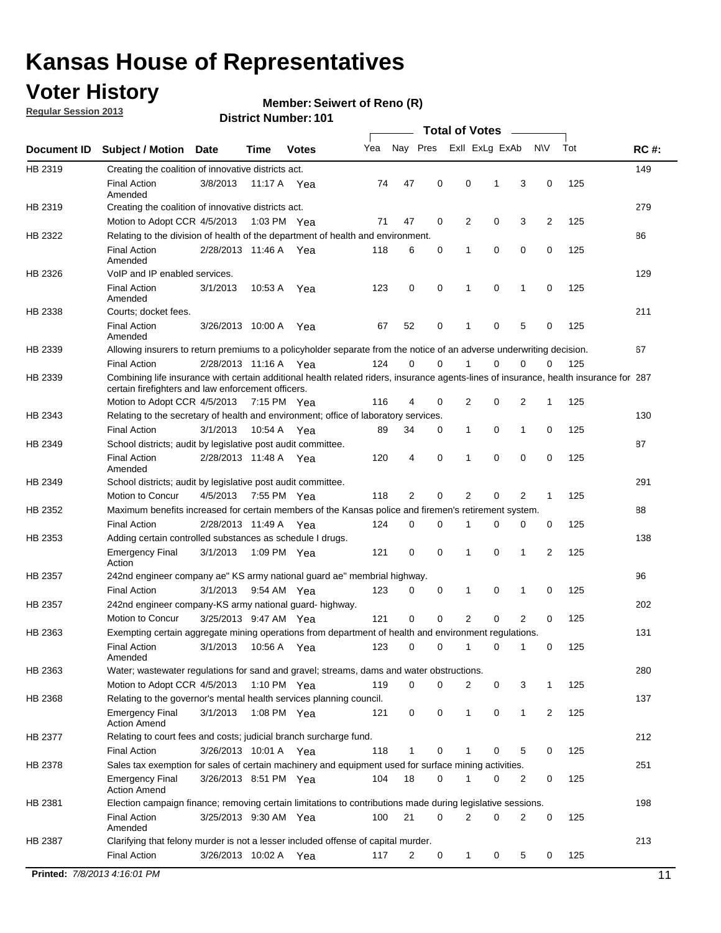### **Voter History**

**Member: Seiwert of Reno (R)** 

**Regular Session 2013**

|             |                                                                                                                                                                                             |                       |             |               |     |             |             | <b>Total of Votes</b> |   |                |           |     |             |
|-------------|---------------------------------------------------------------------------------------------------------------------------------------------------------------------------------------------|-----------------------|-------------|---------------|-----|-------------|-------------|-----------------------|---|----------------|-----------|-----|-------------|
| Document ID | <b>Subject / Motion</b>                                                                                                                                                                     | <b>Date</b>           | Time        | <b>Votes</b>  | Yea | Nay Pres    |             | Exll ExLg ExAb        |   |                | <b>NV</b> | Tot | <b>RC#:</b> |
| HB 2319     | Creating the coalition of innovative districts act.                                                                                                                                         |                       |             |               |     |             |             |                       |   |                |           |     | 149         |
|             | <b>Final Action</b><br>Amended                                                                                                                                                              | 3/8/2013              | 11:17 A     | Yea           | 74  | 47          | 0           | 0                     | 1 | 3              | 0         | 125 |             |
| HB 2319     | Creating the coalition of innovative districts act.                                                                                                                                         |                       |             |               |     |             |             |                       |   |                |           |     | 279         |
|             | Motion to Adopt CCR 4/5/2013                                                                                                                                                                |                       |             | 1:03 PM Yea   | 71  | 47          | 0           | 2                     | 0 | 3              | 2         | 125 |             |
| HB 2322     | Relating to the division of health of the department of health and environment.                                                                                                             |                       |             |               |     |             |             |                       |   |                |           |     | 86          |
|             | <b>Final Action</b><br>Amended                                                                                                                                                              | 2/28/2013 11:46 A Yea |             |               | 118 | 6           | 0           | 1                     | 0 | 0              | 0         | 125 |             |
| HB 2326     | VoIP and IP enabled services.                                                                                                                                                               |                       |             |               |     |             |             |                       |   |                |           |     | 129         |
|             | <b>Final Action</b><br>Amended                                                                                                                                                              | 3/1/2013              | 10.53 A     | Yea           | 123 | $\mathbf 0$ | 0           | $\mathbf{1}$          | 0 | 1              | 0         | 125 |             |
| HB 2338     | Courts; docket fees.                                                                                                                                                                        |                       |             |               |     |             |             |                       |   |                |           |     | 211         |
|             | <b>Final Action</b><br>Amended                                                                                                                                                              | 3/26/2013 10:00 A     |             | Yea           | 67  | 52          | 0           | $\mathbf 1$           | 0 | 5              | 0         | 125 |             |
| HB 2339     | Allowing insurers to return premiums to a policyholder separate from the notice of an adverse underwriting decision.                                                                        |                       |             |               |     |             |             |                       |   |                |           |     | 67          |
|             | <b>Final Action</b>                                                                                                                                                                         | 2/28/2013 11:16 A Yea |             |               | 124 | 0           | 0           |                       | 0 | 0              | 0         | 125 |             |
| HB 2339     | Combining life insurance with certain additional health related riders, insurance agents-lines of insurance, health insurance for 287<br>certain firefighters and law enforcement officers. |                       |             |               |     |             |             |                       |   |                |           |     |             |
|             | Motion to Adopt CCR 4/5/2013 7:15 PM Yea                                                                                                                                                    |                       |             |               | 116 | 4           | 0           | 2                     | 0 | 2              | -1        | 125 |             |
| HB 2343     | Relating to the secretary of health and environment; office of laboratory services.                                                                                                         |                       |             |               |     |             |             |                       |   |                |           |     | 130         |
|             | <b>Final Action</b>                                                                                                                                                                         | 3/1/2013              | 10:54 A Yea |               | 89  | 34          | 0           | 1                     | 0 | $\mathbf{1}$   | 0         | 125 |             |
| HB 2349     | School districts; audit by legislative post audit committee.                                                                                                                                |                       |             |               |     |             |             |                       |   |                |           |     | 87          |
|             | <b>Final Action</b><br>Amended                                                                                                                                                              | 2/28/2013 11:48 A Yea |             |               | 120 | 4           | $\mathbf 0$ | $\mathbf{1}$          | 0 | $\mathbf 0$    | 0         | 125 |             |
| HB 2349     | School districts; audit by legislative post audit committee.                                                                                                                                |                       |             |               |     |             |             |                       |   |                |           |     | 291         |
|             | Motion to Concur                                                                                                                                                                            | 4/5/2013              |             | 7:55 PM Yea   | 118 | 2           | 0           | 2                     | 0 | 2              | 1         | 125 |             |
| HB 2352     | Maximum benefits increased for certain members of the Kansas police and firemen's retirement system.                                                                                        |                       |             |               |     |             |             |                       |   |                |           |     | 88          |
|             | <b>Final Action</b>                                                                                                                                                                         | 2/28/2013 11:49 A     |             | Yea           | 124 | 0           | 0           | 1                     | 0 | 0              | 0         | 125 |             |
| HB 2353     | Adding certain controlled substances as schedule I drugs.                                                                                                                                   |                       |             |               |     |             |             |                       |   |                |           |     | 138         |
|             | Emergency Final<br>Action                                                                                                                                                                   | 3/1/2013              |             | 1:09 PM Yea   | 121 | 0           | 0           | $\mathbf{1}$          | 0 | 1              | 2         | 125 |             |
| HB 2357     | 242nd engineer company ae" KS army national guard ae" membrial highway.                                                                                                                     |                       |             |               |     |             |             |                       |   |                |           |     | 96          |
|             | <b>Final Action</b>                                                                                                                                                                         | 3/1/2013              |             | 9:54 AM Yea   | 123 | 0           | 0           | 1                     | 0 | 1              | 0         | 125 |             |
| HB 2357     | 242nd engineer company-KS army national guard- highway.                                                                                                                                     |                       |             |               |     |             |             |                       |   |                |           |     | 202         |
|             | Motion to Concur                                                                                                                                                                            | 3/25/2013 9:47 AM Yea |             |               | 121 | $\mathbf 0$ | $\mathbf 0$ | 2                     | 0 | $\overline{2}$ | 0         | 125 |             |
| HB 2363     | Exempting certain aggregate mining operations from department of health and environment regulations.                                                                                        |                       |             |               |     |             |             |                       |   |                |           |     | 131         |
|             | <b>Final Action</b><br>Amended                                                                                                                                                              | 3/1/2013              | 10:56 A     | Yea           | 123 | 0           | 0           | 1                     | 0 | 1              | 0         | 125 |             |
| HB 2363     | Water; wastewater regulations for sand and gravel; streams, dams and water obstructions.                                                                                                    |                       |             |               |     |             |             |                       |   |                |           |     | 280         |
|             | Motion to Adopt CCR 4/5/2013                                                                                                                                                                |                       |             | 1:10 PM $Yea$ | 119 | 0           | 0           | 2                     | 0 | 3              | 1         | 125 |             |
| HB 2368     | Relating to the governor's mental health services planning council.<br>Emergency Final                                                                                                      | 3/1/2013              |             | 1:08 PM Yea   | 121 | 0           | 0           | 1                     | 0 | $\mathbf{1}$   | 2         | 125 | 137         |
|             | <b>Action Amend</b>                                                                                                                                                                         |                       |             |               |     |             |             |                       |   |                |           |     |             |
| HB 2377     | Relating to court fees and costs; judicial branch surcharge fund.                                                                                                                           |                       |             |               |     | 1           |             |                       |   |                |           |     | 212         |
|             | <b>Final Action</b>                                                                                                                                                                         | 3/26/2013 10:01 A Yea |             |               | 118 |             | 0           |                       | 0 | 5              | 0         | 125 |             |
| HB 2378     | Sales tax exemption for sales of certain machinery and equipment used for surface mining activities.<br>Emergency Final                                                                     | 3/26/2013 8:51 PM Yea |             |               | 104 | 18          | 0           | 1                     | 0 | 2              | 0         | 125 | 251         |
| HB 2381     | <b>Action Amend</b><br>Election campaign finance; removing certain limitations to contributions made during legislative sessions.                                                           |                       |             |               |     |             |             |                       |   |                |           |     | 198         |
|             | <b>Final Action</b>                                                                                                                                                                         | 3/25/2013 9:30 AM Yea |             |               | 100 | 21          | 0           | 2                     | 0 | 2              | 0         | 125 |             |
|             | Amended                                                                                                                                                                                     |                       |             |               |     |             |             |                       |   |                |           |     |             |
| HB 2387     | Clarifying that felony murder is not a lesser included offense of capital murder.                                                                                                           |                       |             |               |     |             |             |                       |   |                |           |     | 213         |
|             | <b>Final Action</b>                                                                                                                                                                         | 3/26/2013 10:02 A     |             | Yea           | 117 | 2           | 0           | 1                     | 0 | 5              | 0         | 125 |             |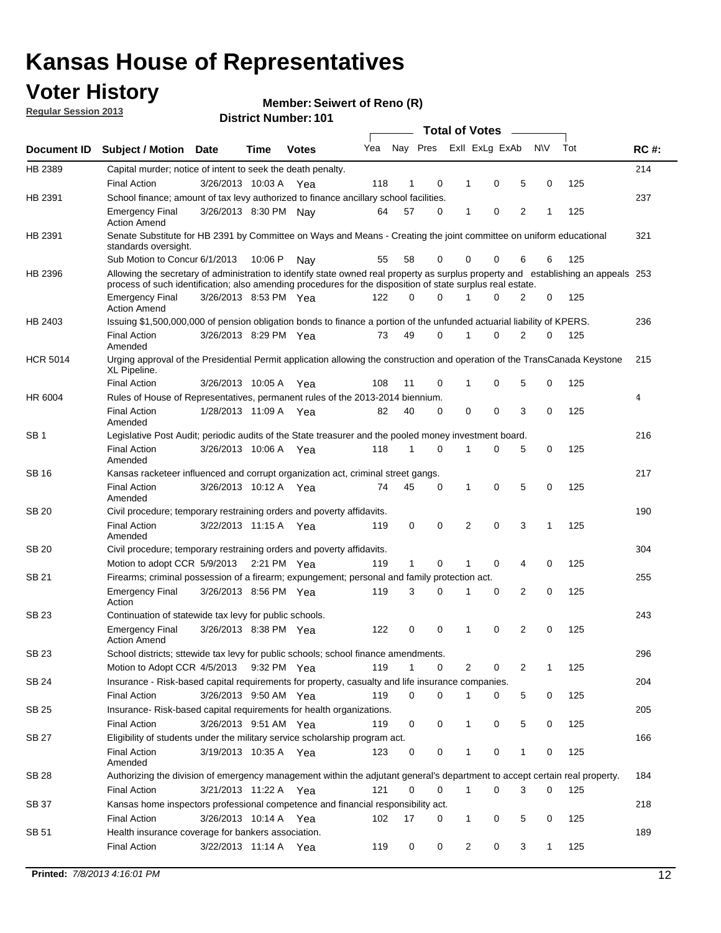### **Voter History**

**Member: Seiwert of Reno (R)** 

**Regular Session 2013**

|                 |                                                                                                                                                                                                                                                  |                       |             |              |     |              |          | <b>Total of Votes</b> |   |   |              |     |             |
|-----------------|--------------------------------------------------------------------------------------------------------------------------------------------------------------------------------------------------------------------------------------------------|-----------------------|-------------|--------------|-----|--------------|----------|-----------------------|---|---|--------------|-----|-------------|
| Document ID     | Subject / Motion Date                                                                                                                                                                                                                            |                       | Time        | <b>Votes</b> | Yea | Nay Pres     |          | Exll ExLg ExAb        |   |   | <b>NV</b>    | Tot | <b>RC#:</b> |
| HB 2389         | Capital murder; notice of intent to seek the death penalty.                                                                                                                                                                                      |                       |             |              |     |              |          |                       |   |   |              |     | 214         |
|                 | <b>Final Action</b>                                                                                                                                                                                                                              | 3/26/2013 10:03 A     |             | Yea          | 118 | 1            | 0        | 1                     | 0 | 5 | 0            | 125 |             |
| HB 2391         | School finance; amount of tax levy authorized to finance ancillary school facilities.                                                                                                                                                            |                       |             |              |     |              |          |                       |   |   |              |     | 237         |
|                 | <b>Emergency Final</b><br><b>Action Amend</b>                                                                                                                                                                                                    | 3/26/2013 8:30 PM Nav |             |              | 64  | 57           | 0        | 1                     | 0 | 2 | 1            | 125 |             |
| HB 2391         | Senate Substitute for HB 2391 by Committee on Ways and Means - Creating the joint committee on uniform educational<br>standards oversight.                                                                                                       |                       |             |              |     |              |          |                       |   |   |              |     | 321         |
|                 | Sub Motion to Concur 6/1/2013                                                                                                                                                                                                                    |                       | 10:06 P     | Nav          | 55  | 58           | 0        | 0                     | 0 | 6 | 6            | 125 |             |
| HB 2396         | Allowing the secretary of administration to identify state owned real property as surplus property and establishing an appeals 253<br>process of such identification; also amending procedures for the disposition of state surplus real estate. |                       |             |              |     |              |          |                       |   |   |              |     |             |
|                 | <b>Emergency Final</b><br>Action Amend                                                                                                                                                                                                           | 3/26/2013 8:53 PM Yea |             |              | 122 | 0            | 0        |                       | 0 | 2 | 0            | 125 |             |
| HB 2403         | Issuing \$1,500,000,000 of pension obligation bonds to finance a portion of the unfunded actuarial liability of KPERS.                                                                                                                           |                       |             |              |     |              |          |                       |   |   |              |     | 236         |
|                 | <b>Final Action</b><br>Amended                                                                                                                                                                                                                   | 3/26/2013 8:29 PM Yea |             |              | 73  | 49           | 0        | 1                     | 0 | 2 | 0            | 125 |             |
| <b>HCR 5014</b> | Urging approval of the Presidential Permit application allowing the construction and operation of the TransCanada Keystone<br>XL Pipeline.                                                                                                       |                       |             |              |     |              |          |                       |   |   |              |     | 215         |
|                 | <b>Final Action</b>                                                                                                                                                                                                                              | 3/26/2013 10:05 A     |             | Yea          | 108 | 11           | 0        |                       | 0 | 5 | 0            | 125 |             |
| HR 6004         | Rules of House of Representatives, permanent rules of the 2013-2014 biennium.                                                                                                                                                                    |                       |             |              |     |              |          |                       |   |   |              |     | 4           |
|                 | <b>Final Action</b><br>Amended                                                                                                                                                                                                                   | 1/28/2013 11:09 A     |             | Yea          | 82  | 40           | 0        | 0                     | 0 | 3 | 0            | 125 |             |
| SB 1            | Legislative Post Audit; periodic audits of the State treasurer and the pooled money investment board.                                                                                                                                            |                       |             |              |     |              |          |                       |   |   |              |     | 216         |
|                 | <b>Final Action</b><br>Amended                                                                                                                                                                                                                   | 3/26/2013 10:06 A     |             | Yea          | 118 | 1            | 0        | 1                     | 0 | 5 | 0            | 125 |             |
| SB 16           | Kansas racketeer influenced and corrupt organization act, criminal street gangs.                                                                                                                                                                 |                       |             |              |     |              |          |                       |   |   |              |     | 217         |
|                 | <b>Final Action</b><br>Amended                                                                                                                                                                                                                   | 3/26/2013 10:12 A Yea |             |              | 74  | 45           | 0        | 1                     | 0 | 5 | 0            | 125 |             |
| SB 20           | Civil procedure; temporary restraining orders and poverty affidavits.                                                                                                                                                                            |                       |             |              |     |              |          |                       |   |   |              |     | 190         |
|                 | <b>Final Action</b><br>Amended                                                                                                                                                                                                                   | 3/22/2013 11:15 A     |             | Yea          | 119 | 0            | 0        | 2                     | 0 | 3 | 1            | 125 |             |
| SB 20           | Civil procedure; temporary restraining orders and poverty affidavits.                                                                                                                                                                            |                       |             |              |     |              |          |                       |   |   |              |     | 304         |
|                 | Motion to adopt CCR 5/9/2013                                                                                                                                                                                                                     |                       | 2:21 PM Yea |              | 119 | $\mathbf{1}$ | 0        | 1                     | 0 | 4 | 0            | 125 |             |
| SB 21           | Firearms; criminal possession of a firearm; expungement; personal and family protection act.                                                                                                                                                     |                       |             |              |     |              |          |                       |   |   |              |     | 255         |
|                 | <b>Emergency Final</b><br>Action                                                                                                                                                                                                                 | 3/26/2013 8:56 PM Yea |             |              | 119 | 3            | 0        |                       | 0 | 2 | 0            | 125 |             |
| SB 23           | Continuation of statewide tax levy for public schools.                                                                                                                                                                                           |                       |             |              |     |              |          |                       |   |   |              |     | 243         |
|                 | <b>Emergency Final</b><br><b>Action Amend</b>                                                                                                                                                                                                    | 3/26/2013 8:38 PM Yea |             |              | 122 | 0            | 0        | 1                     | 0 | 2 | 0            | 125 |             |
| <b>SB 23</b>    | School districts; sttewide tax levy for public schools; school finance amendments.                                                                                                                                                               |                       |             |              |     |              |          |                       |   |   |              |     | 296         |
|                 | Motion to Adopt CCR 4/5/2013 9:32 PM Yea                                                                                                                                                                                                         |                       |             |              | 119 | 1            | 0        | 2                     | 0 | 2 | 1            | 125 |             |
| <b>SB 24</b>    | Insurance - Risk-based capital requirements for property, casualty and life insurance companies.                                                                                                                                                 |                       |             |              |     |              |          |                       |   |   |              |     | 204         |
|                 | <b>Final Action</b>                                                                                                                                                                                                                              | 3/26/2013 9:50 AM Yea |             |              | 119 | 0            | 0        |                       | 0 | 5 | 0            | 125 |             |
| SB 25           | Insurance-Risk-based capital requirements for health organizations.                                                                                                                                                                              |                       |             |              |     |              |          |                       |   |   |              |     | 205         |
|                 | <b>Final Action</b>                                                                                                                                                                                                                              | 3/26/2013 9:51 AM Yea |             |              | 119 | 0            | 0        | 1                     | 0 | 5 | 0            | 125 |             |
| SB 27           | Eligibility of students under the military service scholarship program act.                                                                                                                                                                      |                       |             |              |     |              |          |                       |   |   |              |     | 166         |
|                 | <b>Final Action</b><br>Amended                                                                                                                                                                                                                   | 3/19/2013 10:35 A Yea |             |              | 123 | 0            | 0        |                       | 0 | 1 | 0            | 125 |             |
| SB 28           | Authorizing the division of emergency management within the adjutant general's department to accept certain real property.                                                                                                                       |                       |             |              |     |              |          |                       |   |   |              |     | 184         |
|                 | <b>Final Action</b>                                                                                                                                                                                                                              | 3/21/2013 11:22 A Yea |             |              | 121 | 0            | $\Omega$ | 1                     | 0 | 3 | $\Omega$     | 125 |             |
| SB 37           | Kansas home inspectors professional competence and financial responsibility act.                                                                                                                                                                 |                       |             |              |     |              |          |                       |   |   |              |     | 218         |
|                 | <b>Final Action</b>                                                                                                                                                                                                                              | 3/26/2013 10:14 A Yea |             |              | 102 | 17           | 0        | 1                     | 0 | 5 | 0            | 125 |             |
| SB 51           | Health insurance coverage for bankers association.                                                                                                                                                                                               |                       |             |              |     |              |          |                       |   |   |              |     | 189         |
|                 | <b>Final Action</b>                                                                                                                                                                                                                              | 3/22/2013 11:14 A Yea |             |              | 119 | 0            | 0        | 2                     | 0 | 3 | $\mathbf{1}$ | 125 |             |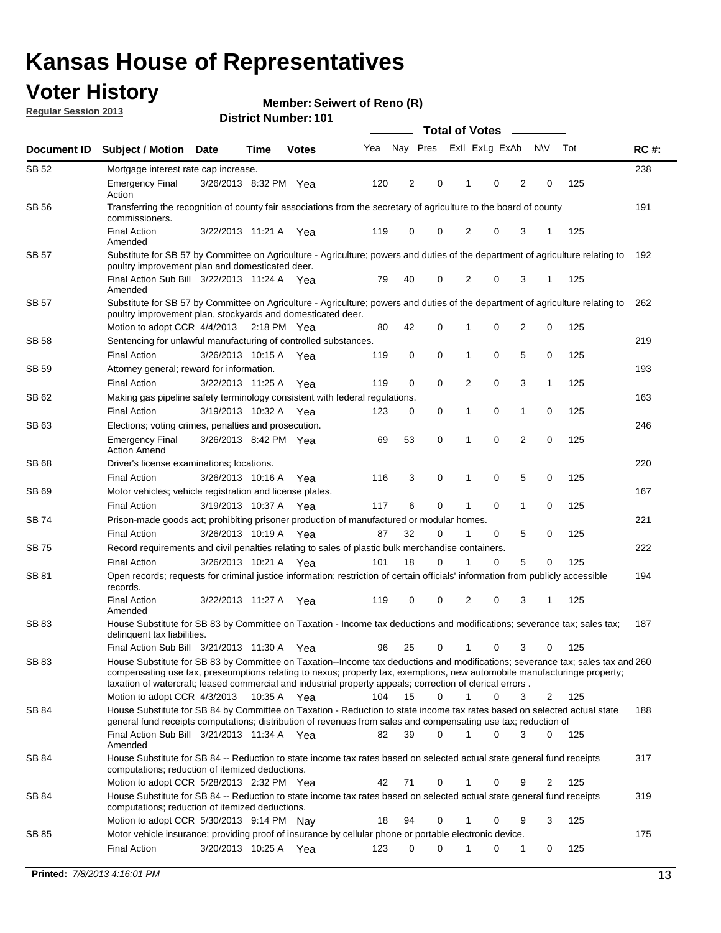### **Voter History**

**Member: Seiwert of Reno (R)** 

**Regular Session 2013**

|              |                                                                                                                                                                                                                                            |                       |             |              |     | <b>Total of Votes</b> |             |                |   |                |           |     |             |
|--------------|--------------------------------------------------------------------------------------------------------------------------------------------------------------------------------------------------------------------------------------------|-----------------------|-------------|--------------|-----|-----------------------|-------------|----------------|---|----------------|-----------|-----|-------------|
| Document ID  | Subject / Motion Date                                                                                                                                                                                                                      |                       | Time        | <b>Votes</b> | Yea | Nay Pres              |             | ExII ExLg ExAb |   |                | <b>NV</b> | Tot | <b>RC#:</b> |
| <b>SB 52</b> | Mortgage interest rate cap increase.                                                                                                                                                                                                       |                       |             |              |     |                       |             |                |   |                |           |     | 238         |
|              | <b>Emergency Final</b><br>Action                                                                                                                                                                                                           | 3/26/2013 8:32 PM Yea |             |              | 120 | 2                     | 0           |                | 0 | 2              | 0         | 125 |             |
| SB 56        | Transferring the recognition of county fair associations from the secretary of agriculture to the board of county<br>commissioners.                                                                                                        |                       |             |              |     |                       |             |                |   |                |           |     | 191         |
|              | <b>Final Action</b><br>Amended                                                                                                                                                                                                             | 3/22/2013 11:21 A Yea |             |              | 119 | 0                     | 0           | 2              | 0 | 3              | 1         | 125 |             |
| SB 57        | Substitute for SB 57 by Committee on Agriculture - Agriculture; powers and duties of the department of agriculture relating to<br>poultry improvement plan and domesticated deer.                                                          |                       |             |              |     |                       |             |                |   |                |           |     | 192         |
|              | Final Action Sub Bill 3/22/2013 11:24 A Yea<br>Amended                                                                                                                                                                                     |                       |             |              | 79  | 40                    | 0           | 2              | 0 | 3              | 1         | 125 |             |
| SB 57        | Substitute for SB 57 by Committee on Agriculture - Agriculture; powers and duties of the department of agriculture relating to<br>poultry improvement plan, stockyards and domesticated deer.                                              |                       |             |              |     |                       |             |                |   |                |           |     | 262         |
|              | Motion to adopt CCR 4/4/2013                                                                                                                                                                                                               |                       | 2:18 PM Yea |              | 80  | 42                    | $\mathbf 0$ | 1              | 0 | 2              | 0         | 125 |             |
| <b>SB 58</b> | Sentencing for unlawful manufacturing of controlled substances.                                                                                                                                                                            |                       |             |              |     |                       |             |                |   |                |           |     | 219         |
|              | <b>Final Action</b>                                                                                                                                                                                                                        | 3/26/2013 10:15 A     |             | Yea          | 119 | 0                     | $\mathbf 0$ | 1              | 0 | 5              | 0         | 125 |             |
| <b>SB 59</b> | Attorney general; reward for information.                                                                                                                                                                                                  |                       |             |              |     |                       |             |                |   |                |           |     | 193         |
|              | <b>Final Action</b>                                                                                                                                                                                                                        | 3/22/2013 11:25 A     |             | Yea          | 119 | $\mathbf 0$           | 0           | 2              | 0 | 3              | 1         | 125 |             |
| SB 62        | Making gas pipeline safety terminology consistent with federal regulations.                                                                                                                                                                |                       |             |              |     |                       |             |                |   |                |           |     | 163         |
|              | <b>Final Action</b>                                                                                                                                                                                                                        | 3/19/2013 10:32 A     |             | Yea          | 123 | 0                     | 0           | 1              | 0 | $\mathbf{1}$   | 0         | 125 |             |
| SB 63        | Elections; voting crimes, penalties and prosecution.                                                                                                                                                                                       |                       |             |              |     |                       |             |                |   |                |           |     | 246         |
|              | <b>Emergency Final</b><br><b>Action Amend</b>                                                                                                                                                                                              | 3/26/2013 8:42 PM Yea |             |              | 69  | 53                    | $\mathbf 0$ | 1              | 0 | $\overline{2}$ | 0         | 125 |             |
| SB 68        | Driver's license examinations; locations.                                                                                                                                                                                                  |                       |             |              |     |                       |             |                |   |                |           |     | 220         |
|              | <b>Final Action</b>                                                                                                                                                                                                                        | 3/26/2013 10:16 A     |             | Yea          | 116 | 3                     | 0           | 1              | 0 | 5              | 0         | 125 |             |
| SB 69        | Motor vehicles; vehicle registration and license plates.                                                                                                                                                                                   |                       |             |              |     |                       |             |                |   |                |           |     | 167         |
|              | <b>Final Action</b>                                                                                                                                                                                                                        | 3/19/2013 10:37 A     |             | Yea          | 117 | 6                     | 0           | 1              | 0 | $\mathbf{1}$   | 0         | 125 |             |
| SB 74        | Prison-made goods act; prohibiting prisoner production of manufactured or modular homes.                                                                                                                                                   |                       |             |              |     |                       |             |                |   |                |           |     | 221         |
|              | <b>Final Action</b>                                                                                                                                                                                                                        | 3/26/2013 10:19 A     |             | Yea          | 87  | 32                    | 0           |                | 0 | 5              | 0         | 125 |             |
| SB 75        | Record requirements and civil penalties relating to sales of plastic bulk merchandise containers.                                                                                                                                          |                       |             |              |     |                       |             |                |   |                |           |     | 222         |
|              | <b>Final Action</b>                                                                                                                                                                                                                        | 3/26/2013 10:21 A     |             | Yea          | 101 | 18                    | 0           |                | 0 | 5              | 0         | 125 |             |
| SB 81        | Open records; requests for criminal justice information; restriction of certain officials' information from publicly accessible<br>records.<br><b>Final Action</b>                                                                         |                       |             |              |     |                       | 0           |                | 0 |                | 1         |     | 194         |
|              | Amended                                                                                                                                                                                                                                    | 3/22/2013 11:27 A     |             | Yea          | 119 | 0                     |             | 2              |   | 3              |           | 125 |             |
| <b>SB83</b>  | House Substitute for SB 83 by Committee on Taxation - Income tax deductions and modifications; severance tax; sales tax;<br>delinquent tax liabilities.<br>Final Action Sub Bill 3/21/2013 11:30 A                                         |                       |             |              | 96  | 25                    | 0           | $\mathbf{1}$   | 0 | 3              | 0         | 125 | 187         |
| SB 83        | House Substitute for SB 83 by Committee on Taxation--Income tax deductions and modifications; severance tax; sales tax and 260                                                                                                             |                       |             | Yea          |     |                       |             |                |   |                |           |     |             |
|              | compensating use tax, preseumptions relating to nexus; property tax, exemptions, new automobile manufacturinge property;<br>taxation of watercraft; leased commercial and industrial property appeals; correction of clerical errors.      |                       |             |              |     |                       |             |                |   |                |           |     |             |
|              | Motion to adopt CCR 4/3/2013                                                                                                                                                                                                               |                       | 10:35 A Yea |              | 104 | 15                    | 0           | 1              | 0 | 3              | 2         | 125 |             |
| SB 84        | House Substitute for SB 84 by Committee on Taxation - Reduction to state income tax rates based on selected actual state<br>general fund receipts computations; distribution of revenues from sales and compensating use tax; reduction of |                       |             |              |     |                       |             |                |   |                |           |     | 188         |
|              | Final Action Sub Bill 3/21/2013 11:34 A Yea<br>Amended                                                                                                                                                                                     |                       |             |              | 82  | 39                    | 0           | $\mathbf 1$    | 0 | 3              | 0         | 125 |             |
| SB 84        | House Substitute for SB 84 -- Reduction to state income tax rates based on selected actual state general fund receipts<br>computations; reduction of itemized deductions.                                                                  |                       |             |              |     |                       |             |                |   |                |           |     | 317         |
|              | Motion to adopt CCR 5/28/2013 2:32 PM Yea                                                                                                                                                                                                  |                       |             |              | 42  | 71                    | 0           | 1              | 0 | 9              | 2         | 125 |             |
| SB 84        | House Substitute for SB 84 -- Reduction to state income tax rates based on selected actual state general fund receipts<br>computations; reduction of itemized deductions.                                                                  |                       |             |              |     |                       |             |                |   |                |           |     | 319         |
|              | Motion to adopt CCR 5/30/2013 9:14 PM Nav                                                                                                                                                                                                  |                       |             |              | 18  | 94                    | 0           |                | 0 | 9              | 3         | 125 |             |
| SB 85        | Motor vehicle insurance; providing proof of insurance by cellular phone or portable electronic device.                                                                                                                                     |                       |             |              |     |                       |             |                |   |                |           |     | 175         |
|              | <b>Final Action</b>                                                                                                                                                                                                                        | 3/20/2013 10:25 A Yea |             |              | 123 | 0                     | 0           | 1              | 0 | 1              | 0         | 125 |             |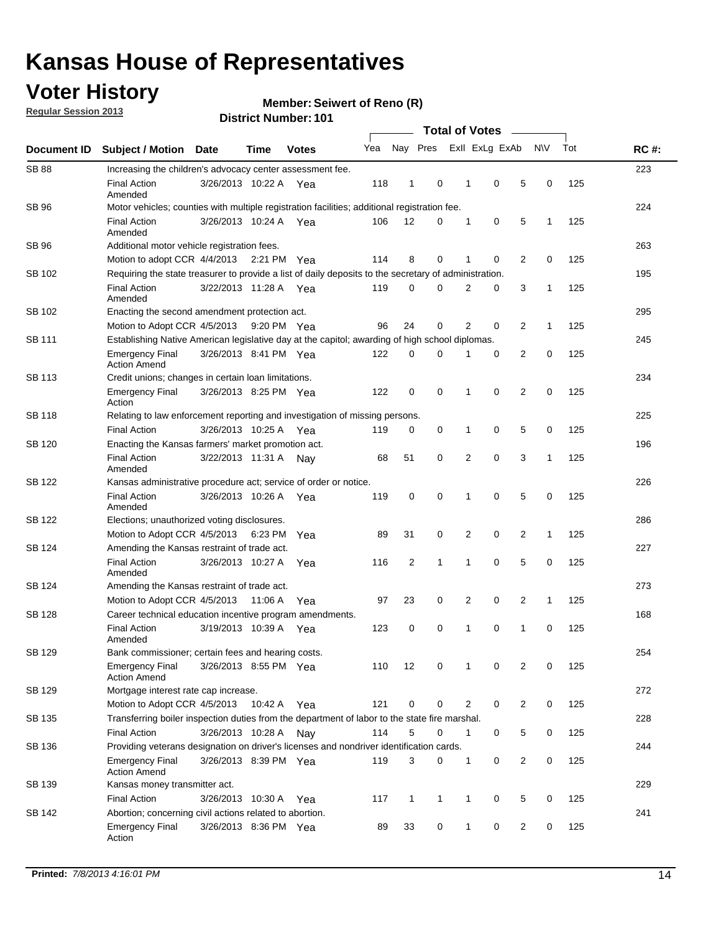### **Voter History**

**Regular Session 2013**

#### **Member: Seiwert of Reno (R)**

|                    |                                                                                                       | ו טו השמות את הסוכו                                                                            |             |              | <b>Total of Votes</b> |                |              |  |                |                |                |              |     |             |
|--------------------|-------------------------------------------------------------------------------------------------------|------------------------------------------------------------------------------------------------|-------------|--------------|-----------------------|----------------|--------------|--|----------------|----------------|----------------|--------------|-----|-------------|
| <b>Document ID</b> | <b>Subject / Motion</b>                                                                               | Date                                                                                           | <b>Time</b> | <b>Votes</b> | Yea                   |                | Nay Pres     |  |                | Exll ExLg ExAb |                | <b>NV</b>    | Tot | <b>RC#:</b> |
| <b>SB 88</b>       | Increasing the children's advocacy center assessment fee.                                             |                                                                                                |             |              |                       |                |              |  |                |                |                |              |     | 223         |
|                    | <b>Final Action</b><br>Amended                                                                        | 3/26/2013 10:22 A                                                                              |             | Yea          | 118                   | $\mathbf{1}$   | 0            |  | 1              | 0              | 5              | 0            | 125 |             |
| <b>SB 96</b>       | Motor vehicles; counties with multiple registration facilities; additional registration fee.          |                                                                                                |             |              |                       |                |              |  |                |                |                |              |     | 224         |
|                    | <b>Final Action</b><br>Amended                                                                        | 3/26/2013 10:24 A                                                                              |             | Yea          | 106                   | 12             | 0            |  | 1              | 0              | 5              | 1            | 125 |             |
| SB 96              | Additional motor vehicle registration fees.                                                           |                                                                                                |             |              |                       |                |              |  |                |                |                |              |     | 263         |
|                    | Motion to adopt CCR 4/4/2013 2:21 PM Yea                                                              |                                                                                                |             |              | 114                   | 8              | 0            |  | 1              | 0              | $\overline{2}$ | 0            | 125 |             |
| SB 102             | Requiring the state treasurer to provide a list of daily deposits to the secretary of administration. |                                                                                                |             |              |                       |                |              |  |                |                |                |              |     | 195         |
|                    | <b>Final Action</b><br>Amended                                                                        | 3/22/2013 11:28 A                                                                              |             | Yea          | 119                   | 0              | 0            |  | 2              | 0              | 3              | 1            | 125 |             |
| SB 102             | Enacting the second amendment protection act.                                                         |                                                                                                |             |              |                       |                |              |  |                |                |                |              |     | 295         |
|                    | Motion to Adopt CCR 4/5/2013                                                                          |                                                                                                | 9:20 PM Yea |              | 96                    | 24             | 0            |  | 2              | $\mathbf 0$    | 2              | $\mathbf{1}$ | 125 |             |
| SB 111             |                                                                                                       | Establishing Native American legislative day at the capitol; awarding of high school diplomas. |             |              |                       |                |              |  |                |                |                |              |     |             |
|                    | <b>Emergency Final</b><br><b>Action Amend</b>                                                         | 3/26/2013 8:41 PM Yea                                                                          |             |              | 122                   | 0              | 0            |  |                | $\mathbf 0$    | 2              | 0            | 125 |             |
| <b>SB 113</b>      | Credit unions; changes in certain loan limitations.                                                   |                                                                                                |             |              |                       |                |              |  |                |                |                |              |     | 234         |
|                    | <b>Emergency Final</b><br>Action                                                                      | 3/26/2013 8:25 PM Yea                                                                          |             |              | 122                   | 0              | 0            |  | 1              | $\mathbf 0$    | 2              | $\mathbf 0$  | 125 |             |
| <b>SB 118</b>      | Relating to law enforcement reporting and investigation of missing persons.                           |                                                                                                |             |              |                       |                |              |  |                |                |                |              |     | 225         |
|                    | <b>Final Action</b>                                                                                   | 3/26/2013 10:25 A                                                                              |             | Yea          | 119                   | 0              | 0            |  | 1              | 0              | 5              | 0            | 125 |             |
| <b>SB 120</b>      | Enacting the Kansas farmers' market promotion act.                                                    |                                                                                                |             |              |                       |                |              |  |                |                |                |              |     | 196         |
|                    | <b>Final Action</b><br>Amended                                                                        | 3/22/2013 11:31 A                                                                              |             | Nav          | 68                    | 51             | 0            |  | 2              | $\mathbf 0$    | 3              | 1            | 125 |             |
| SB 122             | Kansas administrative procedure act; service of order or notice.                                      |                                                                                                |             |              |                       |                |              |  |                |                |                |              |     | 226         |
|                    | <b>Final Action</b><br>Amended                                                                        | 3/26/2013 10:26 A Yea                                                                          |             |              | 119                   | 0              | 0            |  | 1              | $\mathbf 0$    | 5              | 0            | 125 |             |
| <b>SB 122</b>      | Elections; unauthorized voting disclosures.                                                           |                                                                                                |             |              |                       |                |              |  |                |                |                |              |     | 286         |
|                    | Motion to Adopt CCR 4/5/2013                                                                          |                                                                                                | 6:23 PM     | Yea          | 89                    | 31             | 0            |  | 2              | 0              | 2              | $\mathbf{1}$ | 125 |             |
| SB 124             | Amending the Kansas restraint of trade act.                                                           |                                                                                                |             |              |                       |                |              |  |                |                |                |              |     | 227         |
|                    | <b>Final Action</b><br>Amended                                                                        | 3/26/2013 10:27 A                                                                              |             | Yea          | 116                   | $\overline{2}$ | 1            |  | 1              | $\mathbf 0$    | 5              | 0            | 125 |             |
| SB 124             | Amending the Kansas restraint of trade act.                                                           |                                                                                                |             |              |                       |                |              |  |                |                |                |              |     | 273         |
|                    | Motion to Adopt CCR 4/5/2013                                                                          |                                                                                                | 11:06 A     | Yea          | 97                    | 23             | 0            |  | $\overline{2}$ | 0              | 2              | 1            | 125 |             |
| SB 128             | Career technical education incentive program amendments.                                              |                                                                                                |             |              |                       |                |              |  |                |                |                |              |     | 168         |
|                    | <b>Final Action</b><br>Amended                                                                        | 3/19/2013 10:39 A                                                                              |             | Yea          | 123                   | 0              | 0            |  | 1              | $\mathbf 0$    | 1              | 0            | 125 |             |
|                    | Bank commissioner; certain fees and hearing costs.                                                    |                                                                                                |             |              |                       |                |              |  |                |                |                |              |     | 254         |
|                    | <b>Emergency Final</b><br><b>Action Amend</b>                                                         | 3/26/2013 8:55 PM Yea                                                                          |             |              | 110                   | 12             | 0            |  | 1              | 0              | 2              | 0            | 125 |             |
| SB 129             | Mortgage interest rate cap increase.                                                                  |                                                                                                |             |              |                       |                |              |  |                |                |                |              |     | 272         |
|                    | Motion to Adopt CCR 4/5/2013                                                                          |                                                                                                | 10:42 A Yea |              | 121                   | $\mathbf 0$    | 0            |  | $\overline{2}$ | 0              | 2              | 0            | 125 |             |
| SB 135             | Transferring boiler inspection duties from the department of labor to the state fire marshal.         |                                                                                                |             |              |                       |                |              |  |                |                |                |              |     | 228         |
|                    | <b>Final Action</b>                                                                                   | 3/26/2013 10:28 A Nay                                                                          |             |              | 114                   | 5              | 0            |  | 1              | 0              | 5              | 0            | 125 |             |
| SB 136             | Providing veterans designation on driver's licenses and nondriver identification cards.               |                                                                                                |             |              |                       |                |              |  |                |                |                |              |     | 244         |
|                    | Emergency Final<br><b>Action Amend</b>                                                                | 3/26/2013 8:39 PM Yea                                                                          |             |              | 119                   | 3              | 0            |  | 1              | 0              | 2              | 0            | 125 |             |
| SB 129<br>SB 139   | Kansas money transmitter act.                                                                         |                                                                                                |             |              |                       |                |              |  |                |                |                |              |     | 229         |
|                    | <b>Final Action</b>                                                                                   | 3/26/2013 10:30 A Yea                                                                          |             |              | 117                   | $\mathbf{1}$   | $\mathbf{1}$ |  | $\mathbf{1}$   | 0              | 5              | $\mathbf 0$  | 125 |             |
| SB 142             | Abortion; concerning civil actions related to abortion.                                               |                                                                                                |             |              |                       |                |              |  |                |                |                |              |     | 241         |
|                    | Emergency Final<br>Action                                                                             | 3/26/2013 8:36 PM Yea                                                                          |             |              | 89                    | 33             | 0            |  | $\mathbf{1}$   | 0              | 2              | 0            | 125 |             |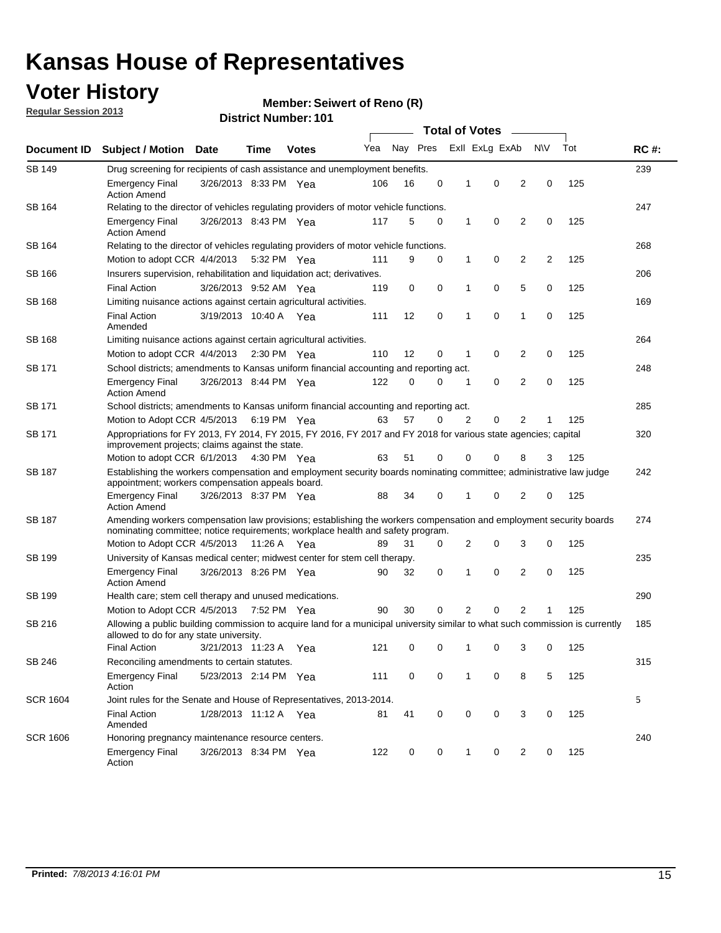### **Voter History**

**Member: Seiwert of Reno (R)** 

**Regular Session 2013**

| Document ID     |                                                                                                                                                                                                       |                       |             |                       |     | <b>Total of Votes</b> |             |   |                |                |           |     |             |
|-----------------|-------------------------------------------------------------------------------------------------------------------------------------------------------------------------------------------------------|-----------------------|-------------|-----------------------|-----|-----------------------|-------------|---|----------------|----------------|-----------|-----|-------------|
|                 | <b>Subject / Motion</b>                                                                                                                                                                               | <b>Date</b>           | Time        | <b>Votes</b>          | Yea | Nay Pres              |             |   | Exll ExLg ExAb |                | <b>NV</b> | Tot | <b>RC#:</b> |
| SB 149          | Drug screening for recipients of cash assistance and unemployment benefits.                                                                                                                           |                       |             |                       |     |                       |             |   |                |                |           |     | 239         |
|                 | <b>Emergency Final</b><br><b>Action Amend</b>                                                                                                                                                         | 3/26/2013 8:33 PM Yea |             |                       | 106 | 16                    | 0           | 1 | 0              | 2              | 0         | 125 |             |
| SB 164          | Relating to the director of vehicles regulating providers of motor vehicle functions.                                                                                                                 |                       |             |                       |     |                       |             |   |                |                |           |     | 247         |
|                 | <b>Emergency Final</b><br><b>Action Amend</b>                                                                                                                                                         | 3/26/2013 8:43 PM Yea |             |                       | 117 | 5                     | 0           | 1 | 0              | 2              | 0         | 125 |             |
| SB 164          | Relating to the director of vehicles regulating providers of motor vehicle functions.                                                                                                                 |                       |             |                       |     |                       |             |   |                |                |           |     | 268         |
|                 | Motion to adopt CCR 4/4/2013 5:32 PM Yea                                                                                                                                                              |                       |             |                       | 111 | 9                     | 0           | 1 | 0              | 2              | 2         | 125 |             |
| SB 166          | Insurers supervision, rehabilitation and liquidation act; derivatives.                                                                                                                                |                       |             |                       |     |                       |             |   |                |                |           |     | 206         |
|                 | <b>Final Action</b>                                                                                                                                                                                   | 3/26/2013 9:52 AM Yea |             |                       | 119 | 0                     | $\mathbf 0$ | 1 | 0              | 5              | 0         | 125 |             |
| SB 168          | Limiting nuisance actions against certain agricultural activities.                                                                                                                                    |                       |             |                       |     |                       |             |   |                |                |           |     | 169         |
|                 | Final Action<br>Amended                                                                                                                                                                               | 3/19/2013 10:40 A Yea |             |                       | 111 | 12                    | 0           | 1 | 0              | 1              | 0         | 125 |             |
| SB 168          | Limiting nuisance actions against certain agricultural activities.                                                                                                                                    |                       |             |                       |     |                       |             |   |                |                |           |     | 264         |
|                 | Motion to adopt CCR 4/4/2013                                                                                                                                                                          |                       |             | $2:30 \text{ PM}$ Yea | 110 | 12                    | 0           | 1 | 0              | 2              | 0         | 125 |             |
| SB 171          | School districts; amendments to Kansas uniform financial accounting and reporting act.                                                                                                                |                       |             |                       |     |                       |             |   |                |                |           |     | 248         |
|                 | <b>Emergency Final</b><br><b>Action Amend</b>                                                                                                                                                         | 3/26/2013 8:44 PM Yea |             |                       | 122 | 0                     | 0           | 1 | 0              | $\overline{2}$ | 0         | 125 |             |
| SB 171          | School districts; amendments to Kansas uniform financial accounting and reporting act.                                                                                                                |                       |             |                       |     |                       |             |   |                |                |           |     | 285         |
|                 | Motion to Adopt CCR 4/5/2013 6:19 PM Yea                                                                                                                                                              |                       |             |                       | 63  | 57                    | 0           | 2 | 0              | 2              |           | 125 |             |
| SB 171          | Appropriations for FY 2013, FY 2014, FY 2015, FY 2016, FY 2017 and FY 2018 for various state agencies; capital<br>improvement projects; claims against the state.                                     |                       |             |                       |     |                       |             |   |                |                |           |     | 320         |
|                 | Motion to adopt CCR 6/1/2013 4:30 PM Yea                                                                                                                                                              |                       |             |                       | 63  | 51                    | 0           | 0 | 0              | 8              | 3         | 125 |             |
| SB 187          | Establishing the workers compensation and employment security boards nominating committee; administrative law judge<br>appointment; workers compensation appeals board.                               |                       |             |                       |     |                       |             |   |                |                |           | 242 |             |
|                 | <b>Emergency Final</b><br><b>Action Amend</b>                                                                                                                                                         | 3/26/2013 8:37 PM Yea |             |                       | 88  | 34                    | 0           | 1 | 0              | 2              | 0         | 125 |             |
| SB 187          | Amending workers compensation law provisions; establishing the workers compensation and employment security boards<br>nominating committee; notice requirements; workplace health and safety program. |                       |             |                       |     |                       |             |   |                |                |           |     | 274         |
|                 | Motion to Adopt CCR 4/5/2013 11:26 A Yea                                                                                                                                                              |                       |             |                       | 89  | 31                    | 0           | 2 | 0              | 3              | 0         | 125 |             |
| SB 199          | University of Kansas medical center; midwest center for stem cell therapy.                                                                                                                            |                       |             |                       |     |                       |             |   |                |                |           |     | 235         |
|                 | <b>Emergency Final</b><br><b>Action Amend</b>                                                                                                                                                         | 3/26/2013 8:26 PM Yea |             |                       | 90  | 32                    | 0           | 1 | 0              | 2              | 0         | 125 |             |
| SB 199          | Health care; stem cell therapy and unused medications.                                                                                                                                                |                       |             |                       |     |                       |             |   |                |                |           |     | 290         |
|                 | Motion to Adopt CCR 4/5/2013                                                                                                                                                                          |                       | 7:52 PM Yea |                       | 90  | 30                    | 0           | 2 | 0              | $\overline{2}$ |           | 125 |             |
| SB 216          | Allowing a public building commission to acquire land for a municipal university similar to what such commission is currently<br>allowed to do for any state university.                              |                       |             |                       |     |                       |             |   |                |                |           |     | 185         |
|                 | <b>Final Action</b>                                                                                                                                                                                   | 3/21/2013 11:23 A     |             | Yea                   | 121 | 0                     | 0           | 1 | 0              | 3              | 0         | 125 |             |
| SB 246          | Reconciling amendments to certain statutes.                                                                                                                                                           |                       |             |                       |     |                       |             |   |                |                |           |     | 315         |
|                 | <b>Emergency Final</b><br>Action                                                                                                                                                                      | 5/23/2013 2:14 PM Yea |             |                       | 111 | 0                     | 0           | 1 | 0              | 8              | 5         | 125 |             |
| <b>SCR 1604</b> | Joint rules for the Senate and House of Representatives, 2013-2014.                                                                                                                                   |                       |             |                       |     |                       |             |   |                |                |           |     | 5           |
|                 | <b>Final Action</b><br>Amended                                                                                                                                                                        | 1/28/2013 11:12 A Yea |             |                       | 81  | 41                    | 0           | 0 | 0              | 3              | 0         | 125 |             |
| <b>SCR 1606</b> | Honoring pregnancy maintenance resource centers.                                                                                                                                                      |                       |             |                       |     |                       |             |   |                |                |           |     | 240         |
|                 | <b>Emergency Final</b><br>Action                                                                                                                                                                      | 3/26/2013 8:34 PM Yea |             |                       | 122 | 0                     | 0           | 1 | 0              | 2              | 0         | 125 |             |